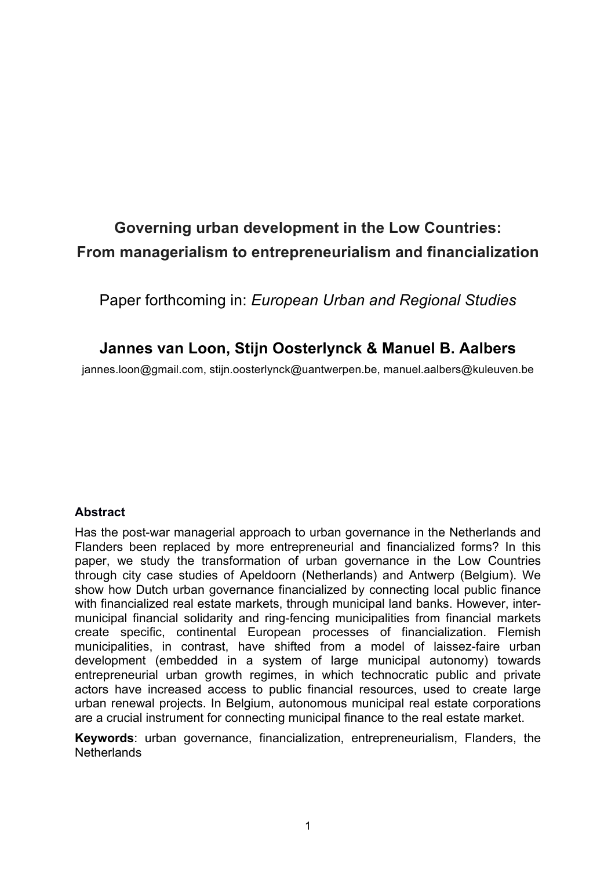# **Governing urban development in the Low Countries: From managerialism to entrepreneurialism and financialization**

Paper forthcoming in: *European Urban and Regional Studies*

## **Jannes van Loon, Stijn Oosterlynck & Manuel B. Aalbers**

jannes.loon@gmail.com, stijn.oosterlynck@uantwerpen.be, manuel.aalbers@kuleuven.be

## **Abstract**

Has the post-war managerial approach to urban governance in the Netherlands and Flanders been replaced by more entrepreneurial and financialized forms? In this paper, we study the transformation of urban governance in the Low Countries through city case studies of Apeldoorn (Netherlands) and Antwerp (Belgium). We show how Dutch urban governance financialized by connecting local public finance with financialized real estate markets, through municipal land banks. However, intermunicipal financial solidarity and ring-fencing municipalities from financial markets create specific, continental European processes of financialization. Flemish municipalities, in contrast, have shifted from a model of laissez-faire urban development (embedded in a system of large municipal autonomy) towards entrepreneurial urban growth regimes, in which technocratic public and private actors have increased access to public financial resources, used to create large urban renewal projects. In Belgium, autonomous municipal real estate corporations are a crucial instrument for connecting municipal finance to the real estate market.

**Keywords**: urban governance, financialization, entrepreneurialism, Flanders, the **Netherlands**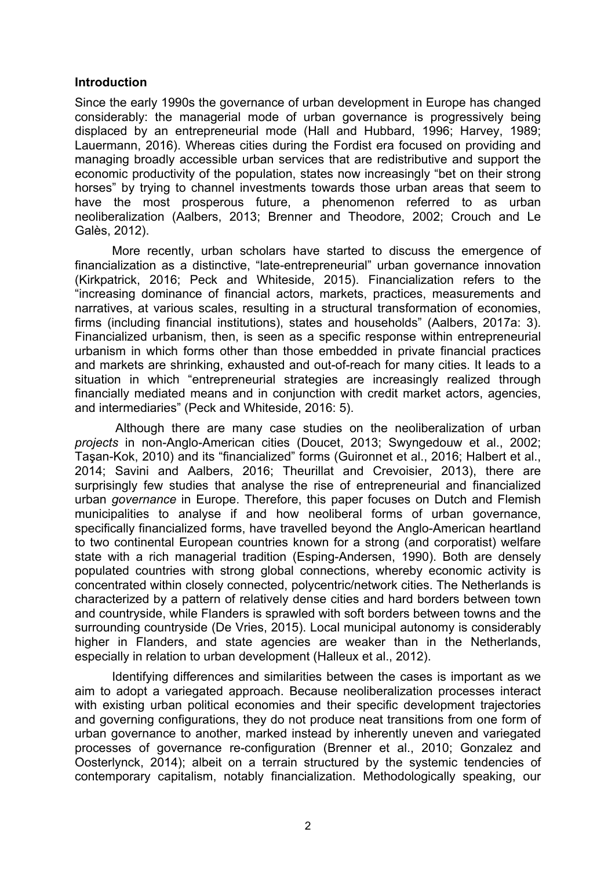#### **Introduction**

Since the early 1990s the governance of urban development in Europe has changed considerably: the managerial mode of urban governance is progressively being displaced by an entrepreneurial mode (Hall and Hubbard, 1996; Harvey, 1989; Lauermann, 2016). Whereas cities during the Fordist era focused on providing and managing broadly accessible urban services that are redistributive and support the economic productivity of the population, states now increasingly "bet on their strong horses" by trying to channel investments towards those urban areas that seem to have the most prosperous future, a phenomenon referred to as urban neoliberalization (Aalbers, 2013; Brenner and Theodore, 2002; Crouch and Le Galès, 2012).

More recently, urban scholars have started to discuss the emergence of financialization as a distinctive, "late-entrepreneurial" urban governance innovation (Kirkpatrick, 2016; Peck and Whiteside, 2015). Financialization refers to the "increasing dominance of financial actors, markets, practices, measurements and narratives, at various scales, resulting in a structural transformation of economies, firms (including financial institutions), states and households" (Aalbers, 2017a: 3). Financialized urbanism, then, is seen as a specific response within entrepreneurial urbanism in which forms other than those embedded in private financial practices and markets are shrinking, exhausted and out-of-reach for many cities. It leads to a situation in which "entrepreneurial strategies are increasingly realized through financially mediated means and in conjunction with credit market actors, agencies, and intermediaries" (Peck and Whiteside, 2016: 5).

Although there are many case studies on the neoliberalization of urban *projects* in non-Anglo-American cities (Doucet, 2013; Swyngedouw et al., 2002; Taşan-Kok, 2010) and its "financialized" forms (Guironnet et al., 2016; Halbert et al., 2014; Savini and Aalbers, 2016; Theurillat and Crevoisier, 2013), there are surprisingly few studies that analyse the rise of entrepreneurial and financialized urban *governance* in Europe. Therefore, this paper focuses on Dutch and Flemish municipalities to analyse if and how neoliberal forms of urban governance, specifically financialized forms, have travelled beyond the Anglo-American heartland to two continental European countries known for a strong (and corporatist) welfare state with a rich managerial tradition (Esping-Andersen, 1990). Both are densely populated countries with strong global connections, whereby economic activity is concentrated within closely connected, polycentric/network cities. The Netherlands is characterized by a pattern of relatively dense cities and hard borders between town and countryside, while Flanders is sprawled with soft borders between towns and the surrounding countryside (De Vries, 2015). Local municipal autonomy is considerably higher in Flanders, and state agencies are weaker than in the Netherlands, especially in relation to urban development (Halleux et al., 2012).

Identifying differences and similarities between the cases is important as we aim to adopt a variegated approach. Because neoliberalization processes interact with existing urban political economies and their specific development trajectories and governing configurations, they do not produce neat transitions from one form of urban governance to another, marked instead by inherently uneven and variegated processes of governance re-configuration (Brenner et al., 2010; Gonzalez and Oosterlynck, 2014); albeit on a terrain structured by the systemic tendencies of contemporary capitalism, notably financialization. Methodologically speaking, our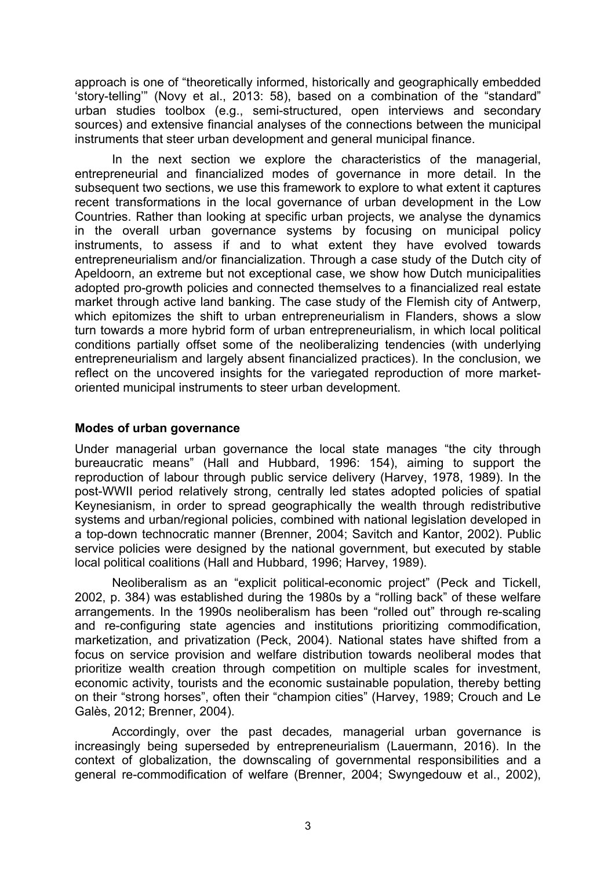approach is one of "theoretically informed, historically and geographically embedded 'story-telling'" (Novy et al., 2013: 58), based on a combination of the "standard" urban studies toolbox (e.g., semi-structured, open interviews and secondary sources) and extensive financial analyses of the connections between the municipal instruments that steer urban development and general municipal finance.

In the next section we explore the characteristics of the managerial, entrepreneurial and financialized modes of governance in more detail. In the subsequent two sections, we use this framework to explore to what extent it captures recent transformations in the local governance of urban development in the Low Countries. Rather than looking at specific urban projects, we analyse the dynamics in the overall urban governance systems by focusing on municipal policy instruments, to assess if and to what extent they have evolved towards entrepreneurialism and/or financialization. Through a case study of the Dutch city of Apeldoorn, an extreme but not exceptional case, we show how Dutch municipalities adopted pro-growth policies and connected themselves to a financialized real estate market through active land banking. The case study of the Flemish city of Antwerp, which epitomizes the shift to urban entrepreneurialism in Flanders, shows a slow turn towards a more hybrid form of urban entrepreneurialism, in which local political conditions partially offset some of the neoliberalizing tendencies (with underlying entrepreneurialism and largely absent financialized practices). In the conclusion, we reflect on the uncovered insights for the variegated reproduction of more marketoriented municipal instruments to steer urban development.

## **Modes of urban governance**

Under managerial urban governance the local state manages "the city through bureaucratic means" (Hall and Hubbard, 1996: 154), aiming to support the reproduction of labour through public service delivery (Harvey, 1978, 1989). In the post-WWII period relatively strong, centrally led states adopted policies of spatial Keynesianism, in order to spread geographically the wealth through redistributive systems and urban/regional policies, combined with national legislation developed in a top-down technocratic manner (Brenner, 2004; Savitch and Kantor, 2002). Public service policies were designed by the national government, but executed by stable local political coalitions (Hall and Hubbard, 1996; Harvey, 1989).

Neoliberalism as an "explicit political-economic project" (Peck and Tickell, 2002, p. 384) was established during the 1980s by a "rolling back" of these welfare arrangements. In the 1990s neoliberalism has been "rolled out" through re-scaling and re-configuring state agencies and institutions prioritizing commodification, marketization, and privatization (Peck, 2004). National states have shifted from a focus on service provision and welfare distribution towards neoliberal modes that prioritize wealth creation through competition on multiple scales for investment, economic activity, tourists and the economic sustainable population, thereby betting on their "strong horses", often their "champion cities" (Harvey, 1989; Crouch and Le Galès, 2012; Brenner, 2004).

Accordingly, over the past decades*,* managerial urban governance is increasingly being superseded by entrepreneurialism (Lauermann, 2016). In the context of globalization, the downscaling of governmental responsibilities and a general re-commodification of welfare (Brenner, 2004; Swyngedouw et al., 2002),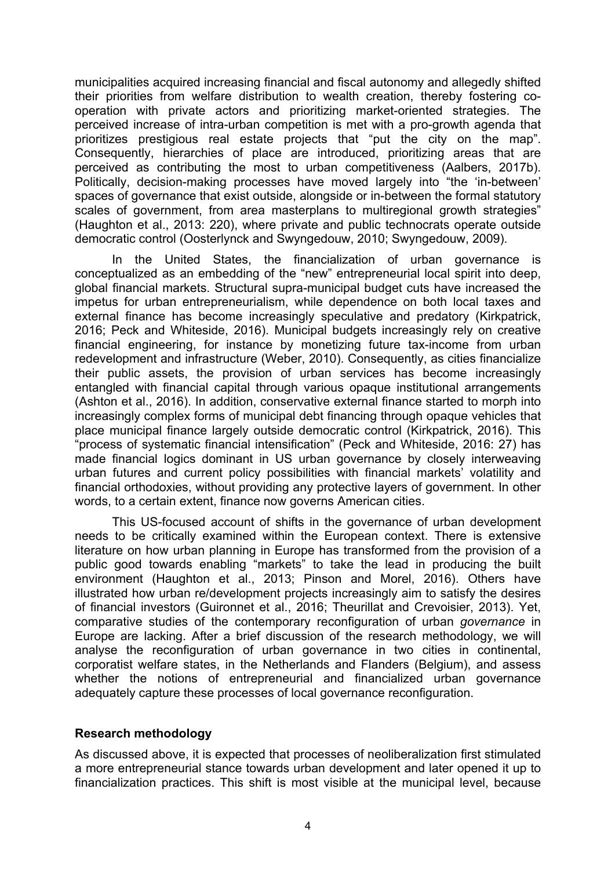municipalities acquired increasing financial and fiscal autonomy and allegedly shifted their priorities from welfare distribution to wealth creation, thereby fostering cooperation with private actors and prioritizing market-oriented strategies. The perceived increase of intra-urban competition is met with a pro-growth agenda that prioritizes prestigious real estate projects that "put the city on the map". Consequently, hierarchies of place are introduced, prioritizing areas that are perceived as contributing the most to urban competitiveness (Aalbers, 2017b). Politically, decision-making processes have moved largely into "the 'in-between' spaces of governance that exist outside, alongside or in-between the formal statutory scales of government, from area masterplans to multiregional growth strategies" (Haughton et al., 2013: 220), where private and public technocrats operate outside democratic control (Oosterlynck and Swyngedouw, 2010; Swyngedouw, 2009).

In the United States, the financialization of urban governance is conceptualized as an embedding of the "new" entrepreneurial local spirit into deep, global financial markets. Structural supra-municipal budget cuts have increased the impetus for urban entrepreneurialism, while dependence on both local taxes and external finance has become increasingly speculative and predatory (Kirkpatrick, 2016; Peck and Whiteside, 2016). Municipal budgets increasingly rely on creative financial engineering, for instance by monetizing future tax-income from urban redevelopment and infrastructure (Weber, 2010). Consequently, as cities financialize their public assets, the provision of urban services has become increasingly entangled with financial capital through various opaque institutional arrangements (Ashton et al., 2016). In addition, conservative external finance started to morph into increasingly complex forms of municipal debt financing through opaque vehicles that place municipal finance largely outside democratic control (Kirkpatrick, 2016). This "process of systematic financial intensification" (Peck and Whiteside, 2016: 27) has made financial logics dominant in US urban governance by closely interweaving urban futures and current policy possibilities with financial markets' volatility and financial orthodoxies, without providing any protective layers of government. In other words, to a certain extent, finance now governs American cities.

This US-focused account of shifts in the governance of urban development needs to be critically examined within the European context. There is extensive literature on how urban planning in Europe has transformed from the provision of a public good towards enabling "markets" to take the lead in producing the built environment (Haughton et al., 2013; Pinson and Morel, 2016). Others have illustrated how urban re/development projects increasingly aim to satisfy the desires of financial investors (Guironnet et al., 2016; Theurillat and Crevoisier, 2013). Yet, comparative studies of the contemporary reconfiguration of urban *governance* in Europe are lacking. After a brief discussion of the research methodology, we will analyse the reconfiguration of urban governance in two cities in continental, corporatist welfare states, in the Netherlands and Flanders (Belgium), and assess whether the notions of entrepreneurial and financialized urban governance adequately capture these processes of local governance reconfiguration.

## **Research methodology**

As discussed above, it is expected that processes of neoliberalization first stimulated a more entrepreneurial stance towards urban development and later opened it up to financialization practices. This shift is most visible at the municipal level, because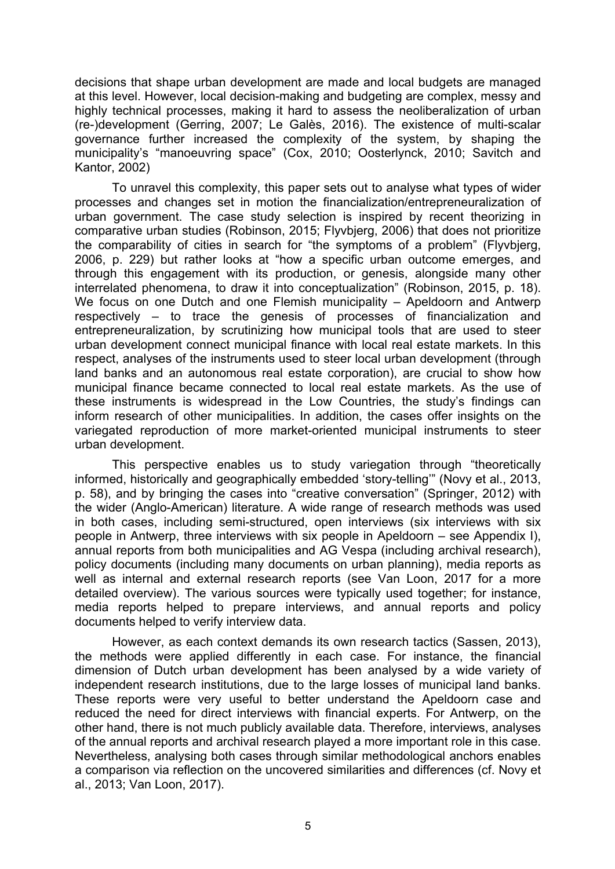decisions that shape urban development are made and local budgets are managed at this level. However, local decision-making and budgeting are complex, messy and highly technical processes, making it hard to assess the neoliberalization of urban (re-)development (Gerring, 2007; Le Galès, 2016). The existence of multi-scalar governance further increased the complexity of the system, by shaping the municipality's "manoeuvring space" (Cox, 2010; Oosterlynck, 2010; Savitch and Kantor, 2002)

To unravel this complexity, this paper sets out to analyse what types of wider processes and changes set in motion the financialization/entrepreneuralization of urban government. The case study selection is inspired by recent theorizing in comparative urban studies (Robinson, 2015; Flyvbjerg, 2006) that does not prioritize the comparability of cities in search for "the symptoms of a problem" (Flyvbjerg, 2006, p. 229) but rather looks at "how a specific urban outcome emerges, and through this engagement with its production, or genesis, alongside many other interrelated phenomena, to draw it into conceptualization" (Robinson, 2015, p. 18). We focus on one Dutch and one Flemish municipality – Apeldoorn and Antwerp respectively – to trace the genesis of processes of financialization and entrepreneuralization, by scrutinizing how municipal tools that are used to steer urban development connect municipal finance with local real estate markets. In this respect, analyses of the instruments used to steer local urban development (through land banks and an autonomous real estate corporation), are crucial to show how municipal finance became connected to local real estate markets. As the use of these instruments is widespread in the Low Countries, the study's findings can inform research of other municipalities. In addition, the cases offer insights on the variegated reproduction of more market-oriented municipal instruments to steer urban development.

This perspective enables us to study variegation through "theoretically informed, historically and geographically embedded 'story-telling'" (Novy et al., 2013, p. 58), and by bringing the cases into "creative conversation" (Springer, 2012) with the wider (Anglo-American) literature. A wide range of research methods was used in both cases, including semi-structured, open interviews (six interviews with six people in Antwerp, three interviews with six people in Apeldoorn – see Appendix I), annual reports from both municipalities and AG Vespa (including archival research), policy documents (including many documents on urban planning), media reports as well as internal and external research reports (see Van Loon, 2017 for a more detailed overview). The various sources were typically used together; for instance, media reports helped to prepare interviews, and annual reports and policy documents helped to verify interview data.

However, as each context demands its own research tactics (Sassen, 2013), the methods were applied differently in each case. For instance, the financial dimension of Dutch urban development has been analysed by a wide variety of independent research institutions, due to the large losses of municipal land banks. These reports were very useful to better understand the Apeldoorn case and reduced the need for direct interviews with financial experts. For Antwerp, on the other hand, there is not much publicly available data. Therefore, interviews, analyses of the annual reports and archival research played a more important role in this case. Nevertheless, analysing both cases through similar methodological anchors enables a comparison via reflection on the uncovered similarities and differences (cf. Novy et al., 2013; Van Loon, 2017).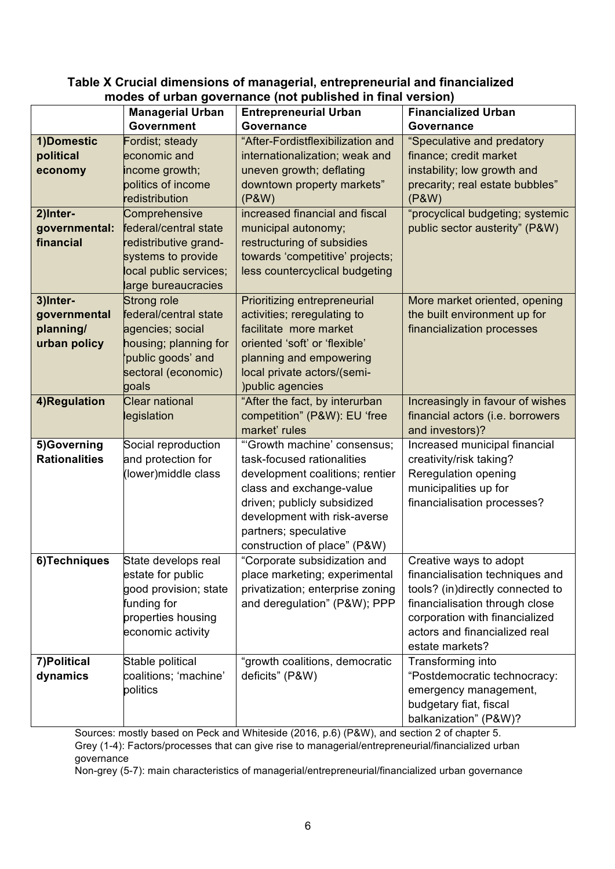|                      | <b>Managerial Urban</b> | $110000$ of ansalt governation fliet pastioned in their version,<br><b>Entrepreneurial Urban</b> | <b>Financialized Urban</b>       |
|----------------------|-------------------------|--------------------------------------------------------------------------------------------------|----------------------------------|
|                      | <b>Government</b>       | Governance                                                                                       | Governance                       |
| 1)Domestic           | Fordist; steady         | "After-Fordistflexibilization and                                                                | "Speculative and predatory       |
| political            | economic and            | internationalization; weak and                                                                   | finance; credit market           |
| economy              | income growth;          | uneven growth; deflating                                                                         | instability; low growth and      |
|                      | politics of income      | downtown property markets"                                                                       | precarity; real estate bubbles"  |
|                      | redistribution          | (P&W)                                                                                            | (P&W)                            |
| 2)Inter-             | Comprehensive           | increased financial and fiscal                                                                   | "procyclical budgeting; systemic |
| governmental:        | federal/central state   | municipal autonomy;                                                                              | public sector austerity" (P&W)   |
| financial            | redistributive grand-   | restructuring of subsidies                                                                       |                                  |
|                      | systems to provide      | towards 'competitive' projects;                                                                  |                                  |
|                      | local public services;  | less countercyclical budgeting                                                                   |                                  |
|                      | large bureaucracies     |                                                                                                  |                                  |
| 3)Inter-             | Strong role             | Prioritizing entrepreneurial                                                                     | More market oriented, opening    |
| governmental         | federal/central state   | activities; reregulating to                                                                      | the built environment up for     |
| planning/            | agencies; social        | facilitate more market                                                                           | financialization processes       |
| urban policy         | housing; planning for   | oriented 'soft' or 'flexible'                                                                    |                                  |
|                      | 'public goods' and      | planning and empowering                                                                          |                                  |
|                      | sectoral (economic)     | local private actors/(semi-                                                                      |                                  |
|                      | goals                   | ) public agencies                                                                                |                                  |
| 4)Regulation         | <b>Clear national</b>   | "After the fact, by interurban                                                                   | Increasingly in favour of wishes |
|                      | legislation             | competition" (P&W): EU 'free                                                                     | financial actors (i.e. borrowers |
|                      |                         | market' rules                                                                                    | and investors)?                  |
| 5)Governing          | Social reproduction     | "Growth machine' consensus;                                                                      | Increased municipal financial    |
| <b>Rationalities</b> | and protection for      | task-focused rationalities                                                                       | creativity/risk taking?          |
|                      | (lower)middle class     | development coalitions; rentier                                                                  | Reregulation opening             |
|                      |                         | class and exchange-value                                                                         | municipalities up for            |
|                      |                         | driven; publicly subsidized                                                                      | financialisation processes?      |
|                      |                         | development with risk-averse                                                                     |                                  |
|                      |                         | partners; speculative                                                                            |                                  |
|                      |                         | construction of place" (P&W)                                                                     |                                  |
| 6) Techniques        | State develops real     | "Corporate subsidization and                                                                     | Creative ways to adopt           |
|                      | estate for public       | place marketing; experimental                                                                    | financialisation techniques and  |
|                      | good provision; state   | privatization; enterprise zoning                                                                 | tools? (in)directly connected to |
|                      | funding for             | and deregulation" (P&W); PPP                                                                     | financialisation through close   |
|                      | properties housing      |                                                                                                  | corporation with financialized   |
|                      | economic activity       |                                                                                                  | actors and financialized real    |
|                      |                         |                                                                                                  | estate markets?                  |
| 7) Political         | Stable political        | "growth coalitions, democratic                                                                   | Transforming into                |
| dynamics             | coalitions; 'machine'   | deficits" (P&W)                                                                                  | "Postdemocratic technocracy:     |
|                      | politics                |                                                                                                  | emergency management,            |
|                      |                         |                                                                                                  | budgetary fiat, fiscal           |
|                      |                         |                                                                                                  | balkanization" (P&W)?            |

## **Table X Crucial dimensions of managerial, entrepreneurial and financialized modes of urban governance (not published in final version)**

Sources: mostly based on Peck and Whiteside (2016, p.6) (P&W), and section 2 of chapter 5. Grey (1-4): Factors/processes that can give rise to managerial/entrepreneurial/financialized urban governance

Non-grey (5-7): main characteristics of managerial/entrepreneurial/financialized urban governance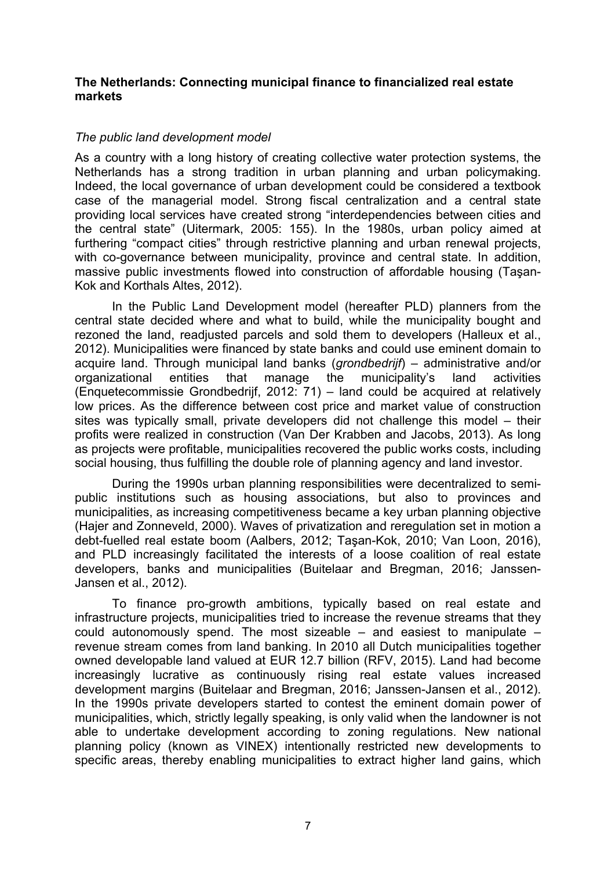#### **The Netherlands: Connecting municipal finance to financialized real estate markets**

## *The public land development model*

As a country with a long history of creating collective water protection systems, the Netherlands has a strong tradition in urban planning and urban policymaking. Indeed, the local governance of urban development could be considered a textbook case of the managerial model. Strong fiscal centralization and a central state providing local services have created strong "interdependencies between cities and the central state" (Uitermark, 2005: 155). In the 1980s, urban policy aimed at furthering "compact cities" through restrictive planning and urban renewal projects, with co-governance between municipality, province and central state. In addition, massive public investments flowed into construction of affordable housing (Taşan-Kok and Korthals Altes, 2012).

In the Public Land Development model (hereafter PLD) planners from the central state decided where and what to build, while the municipality bought and rezoned the land, readjusted parcels and sold them to developers (Halleux et al., 2012). Municipalities were financed by state banks and could use eminent domain to acquire land. Through municipal land banks (*grondbedrijf*) – administrative and/or organizational entities that manage the municipality's land activities (Enquetecommissie Grondbedrijf, 2012: 71) – land could be acquired at relatively low prices. As the difference between cost price and market value of construction sites was typically small, private developers did not challenge this model – their profits were realized in construction (Van Der Krabben and Jacobs, 2013). As long as projects were profitable, municipalities recovered the public works costs, including social housing, thus fulfilling the double role of planning agency and land investor.

During the 1990s urban planning responsibilities were decentralized to semipublic institutions such as housing associations, but also to provinces and municipalities, as increasing competitiveness became a key urban planning objective (Hajer and Zonneveld, 2000). Waves of privatization and reregulation set in motion a debt-fuelled real estate boom (Aalbers, 2012; Taşan-Kok, 2010; Van Loon, 2016), and PLD increasingly facilitated the interests of a loose coalition of real estate developers, banks and municipalities (Buitelaar and Bregman, 2016; Janssen-Jansen et al., 2012).

To finance pro-growth ambitions, typically based on real estate and infrastructure projects, municipalities tried to increase the revenue streams that they could autonomously spend. The most sizeable – and easiest to manipulate – revenue stream comes from land banking. In 2010 all Dutch municipalities together owned developable land valued at EUR 12.7 billion (RFV, 2015). Land had become increasingly lucrative as continuously rising real estate values increased development margins (Buitelaar and Bregman, 2016; Janssen-Jansen et al., 2012). In the 1990s private developers started to contest the eminent domain power of municipalities, which, strictly legally speaking, is only valid when the landowner is not able to undertake development according to zoning regulations. New national planning policy (known as VINEX) intentionally restricted new developments to specific areas, thereby enabling municipalities to extract higher land gains, which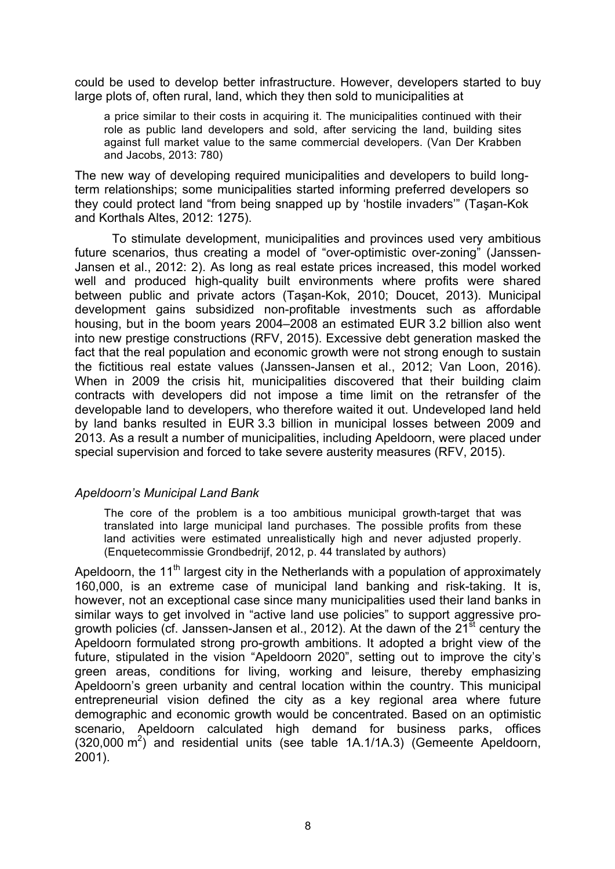could be used to develop better infrastructure. However, developers started to buy large plots of, often rural, land, which they then sold to municipalities at

a price similar to their costs in acquiring it. The municipalities continued with their role as public land developers and sold, after servicing the land, building sites against full market value to the same commercial developers. (Van Der Krabben and Jacobs, 2013: 780)

The new way of developing required municipalities and developers to build longterm relationships; some municipalities started informing preferred developers so they could protect land "from being snapped up by 'hostile invaders'" (Taşan-Kok and Korthals Altes, 2012: 1275).

To stimulate development, municipalities and provinces used very ambitious future scenarios, thus creating a model of "over-optimistic over-zoning" (Janssen-Jansen et al., 2012: 2). As long as real estate prices increased, this model worked well and produced high-quality built environments where profits were shared between public and private actors (Taşan-Kok, 2010; Doucet, 2013). Municipal development gains subsidized non-profitable investments such as affordable housing, but in the boom years 2004–2008 an estimated EUR 3.2 billion also went into new prestige constructions (RFV, 2015). Excessive debt generation masked the fact that the real population and economic growth were not strong enough to sustain the fictitious real estate values (Janssen-Jansen et al., 2012; Van Loon, 2016). When in 2009 the crisis hit, municipalities discovered that their building claim contracts with developers did not impose a time limit on the retransfer of the developable land to developers, who therefore waited it out. Undeveloped land held by land banks resulted in EUR 3.3 billion in municipal losses between 2009 and 2013. As a result a number of municipalities, including Apeldoorn, were placed under special supervision and forced to take severe austerity measures (RFV, 2015).

## *Apeldoorn's Municipal Land Bank*

The core of the problem is a too ambitious municipal growth-target that was translated into large municipal land purchases. The possible profits from these land activities were estimated unrealistically high and never adjusted properly. (Enquetecommissie Grondbedrijf, 2012, p. 44 translated by authors)

Apeldoorn, the 11<sup>th</sup> largest city in the Netherlands with a population of approximately 160,000, is an extreme case of municipal land banking and risk-taking. It is, however, not an exceptional case since many municipalities used their land banks in similar ways to get involved in "active land use policies" to support aggressive progrowth policies (cf. Janssen-Jansen et al., 2012). At the dawn of the  $21<sup>st</sup>$  century the Apeldoorn formulated strong pro-growth ambitions. It adopted a bright view of the future, stipulated in the vision "Apeldoorn 2020", setting out to improve the city's green areas, conditions for living, working and leisure, thereby emphasizing Apeldoorn's green urbanity and central location within the country. This municipal entrepreneurial vision defined the city as a key regional area where future demographic and economic growth would be concentrated. Based on an optimistic scenario, Apeldoorn calculated high demand for business parks, offices  $(320,000 \text{ m}^2)$  and residential units (see table 1A.1/1A.3) (Gemeente Apeldoorn, 2001).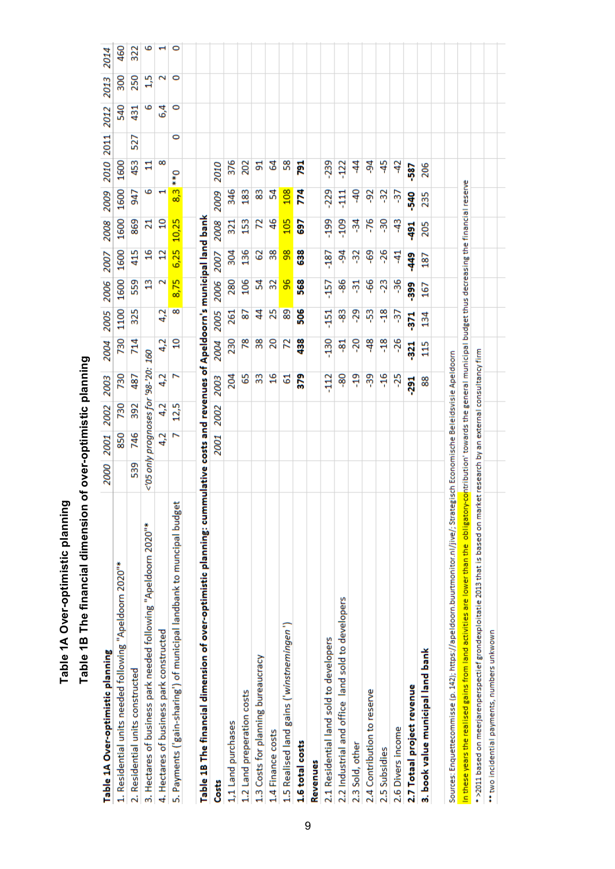| Table 1A Over-optimistic planning                                                                                                                                             | 2000                                                           | 2001 | 2002 | 2003                                 | 2004            | 2005      | 2006               | 2007           | 2008            | 2009            | 2010 2011    |     | 2012        | 2013              | 2014 |
|-------------------------------------------------------------------------------------------------------------------------------------------------------------------------------|----------------------------------------------------------------|------|------|--------------------------------------|-----------------|-----------|--------------------|----------------|-----------------|-----------------|--------------|-----|-------------|-------------------|------|
| 1. Residential units needed following "Apeldoorn 2020"*                                                                                                                       |                                                                | 850  | 730  | 730                                  | 730             | 1100      | 1600               | 1600           | 1600            | 1600            | 1600         |     | 540         | $\frac{300}{200}$ | 460  |
| 2. Residential units constructed                                                                                                                                              | 539                                                            | 746  | 392  | 487                                  | 714             | 325       | 559                | 415            | 869             | 947             | 453          | 527 | 431         | 250               | 322  |
| 3. Hectares of business park needed following "Apeldoorn 2020"*                                                                                                               |                                                                |      |      | <'05 only prognoses for '98-'20: 160 |                 |           | $\mathbf{r}$       | $\frac{6}{5}$  | ដ               | ه               | $\mathbf{H}$ |     | ه           | 1,5               | ه    |
| 4. Hectares of business park constructed                                                                                                                                      |                                                                | 4,2  | 4,2  | 4,2                                  | 4,2             | 4,2       | $\scriptstyle\sim$ | $\overline{a}$ | $\overline{10}$ | H               | 8            |     | $6\ddot{4}$ | $\mathbf{\sim}$   |      |
| 5. Payments ('gain-sharing') of municipal landbank to muncipal budget                                                                                                         |                                                                | N    | 12,5 | ∼                                    | $\overline{10}$ | 8         | 8,75               | 6,25           | 10,25           | $\frac{3}{8}$   | $\mathbf{0}$ | 0   | 0           | O                 | 0    |
|                                                                                                                                                                               |                                                                |      |      |                                      |                 |           |                    |                |                 |                 |              |     |             |                   |      |
| Table 18 The financial dimension of over-optimistic planning: cum                                                                                                             | mulative costs and revenues of Apeldoorn's municipal land bank |      |      |                                      |                 |           |                    |                |                 |                 |              |     |             |                   |      |
| Costs                                                                                                                                                                         |                                                                | 2001 | 2002 | 2003                                 | 2004            | 2005      | 2006               | 2007           | 2008            | 2009            | 2010         |     |             |                   |      |
| 1,1 Land purchases                                                                                                                                                            |                                                                |      |      | 204                                  | 230             | 261       | 280                | 304            | 321             | 346             | 376          |     |             |                   |      |
| 1.2 Land preperation costs                                                                                                                                                    |                                                                |      |      | 65                                   | 78              | 5         | 106                | 136            | 153             | 183             | 202          |     |             |                   |      |
| 1.3 Costs for planning bureaucracy                                                                                                                                            |                                                                |      |      | 33                                   | 38              | \$        | 2                  | ္တ             | 72              | 83              | 51           |     |             |                   |      |
| 1.4 Finance costs                                                                                                                                                             |                                                                |      |      | $\frac{6}{1}$                        | 20              | 25        | 32                 | 38             | 46              | 2               | 54           |     |             |                   |      |
| 1.5 Realised land gains ('winstnemingen')                                                                                                                                     |                                                                |      |      | ಠ                                    | 2               | 89        | $\frac{6}{5}$      | န္တ            | 105             | $\frac{8}{108}$ | အိ           |     |             |                   |      |
| 1.6 total costs                                                                                                                                                               |                                                                |      |      | 379                                  | 438             | 506       | 568                | 638            | 597             | 774             | <b>Pal</b>   |     |             |                   |      |
| Revenues                                                                                                                                                                      |                                                                |      |      |                                      |                 |           |                    |                |                 |                 |              |     |             |                   |      |
| 2.1 Residential land sold to developers                                                                                                                                       |                                                                |      |      | $-112$                               | $-130$          | $-151$    | $-157$             | $-187$         | $-199$          | $-229$          | $-239$       |     |             |                   |      |
| 2.2 Industrial and office land sold to developers                                                                                                                             |                                                                |      |      | -80                                  | ಫ               | -83       | -86                | 54             | $-109$          | 111             | $-122$       |     |             |                   |      |
| 2.3 Sold, other                                                                                                                                                               |                                                                |      |      | ٩.                                   | $-20$           | Sc-       | ಸ                  | အို            | -34             | ą               | र्च          |     |             |                   |      |
| 2.4 Contribution to reserve                                                                                                                                                   |                                                                |      |      | အို                                  | 48              | အို       | 99                 | ဒို            | -76             | ခု              | Ъé           |     |             |                   |      |
| 2.5 Subsidies                                                                                                                                                                 |                                                                |      |      | $\frac{16}{1}$                       | $\frac{8}{1}$   | <u>م.</u> | 23                 | $-26$          | -30             | 32              | 45           |     |             |                   |      |
| 2.6 Divers income                                                                                                                                                             |                                                                |      |      | -25                                  | $-26$           | -37       | $-36$              | 41             | 43              | -37             | $\ddot{ }$   |     |             |                   |      |
| 2.7 Totaal project revenue                                                                                                                                                    |                                                                |      |      | 291                                  | -321            | 371       | -399               | 449            | 491             | -540            | -587         |     |             |                   |      |
| 3. book value municipal land bank                                                                                                                                             |                                                                |      |      | 88                                   | 115             | 134       | 167                | 187            | 205             | 235             | 206          |     |             |                   |      |
|                                                                                                                                                                               |                                                                |      |      |                                      |                 |           |                    |                |                 |                 |              |     |             |                   |      |
| Sources: Enquettecommisse (p. 142); https://apeldoorn.buurtmonitor.nl/jive/; Strategisch Economische Beleidsvisie Apeldoorn                                                   |                                                                |      |      |                                      |                 |           |                    |                |                 |                 |              |     |             |                   |      |
| In these years the realised gains from land activities are lower than the obligatory-contribution' towards the general municipal budget thus decreasing the financial reserve |                                                                |      |      |                                      |                 |           |                    |                |                 |                 |              |     |             |                   |      |
| $^\bullet$ >2011 based on meerjarenperspectief grondexploitatie 2013 that is based on mark                                                                                    | cet research by an external consultancy firm                   |      |      |                                      |                 |           |                    |                |                 |                 |              |     |             |                   |      |
| ** two incidential payments, numbers unkwown                                                                                                                                  |                                                                |      |      |                                      |                 |           |                    |                |                 |                 |              |     |             |                   |      |

**Table 1A Over-optimistic planning**

Table 1A Over-optimistic planning

**Table 1B The financial dimension of over-optimistic planning**

Table 1B The financial dimension of over-optimistic planning

9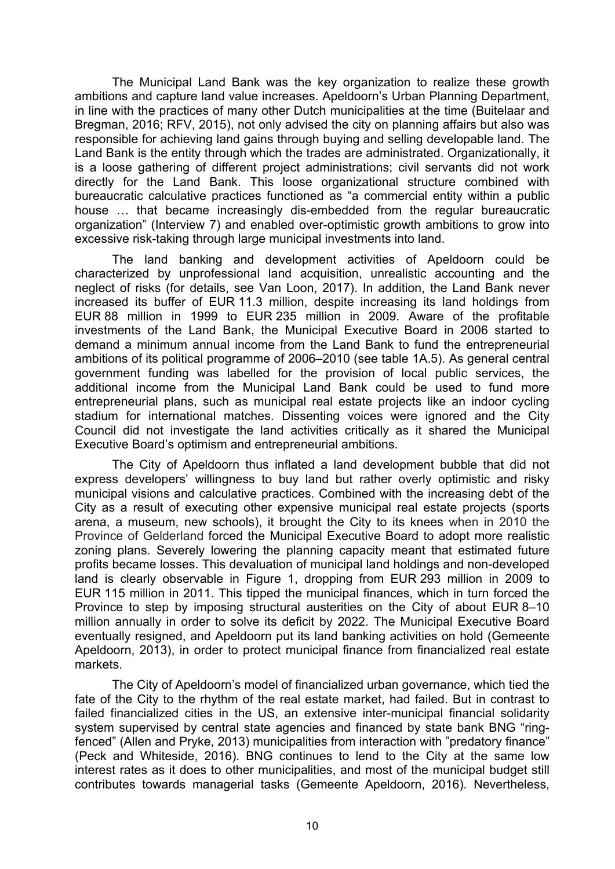The Municipal Land Bank was the key organization to realize these growth ambitions and capture land value increases. Apeldoorn's Urban Planning Department, in line with the practices of many other Dutch municipalities at the time (Buitelaar and Bregman, 2016; RFV, 2015), not only advised the city on planning affairs but also was responsible for achieving land gains through buying and selling developable land. The Land Bank is the entity through which the trades are administrated. Organizationally, it is a loose gathering of different project administrations; civil servants did not work directly for the Land Bank. This loose organizational structure combined with bureaucratic calculative practices functioned as "a commercial entity within a public house … that became increasingly dis-embedded from the regular bureaucratic organization" (Interview 7) and enabled over-optimistic growth ambitions to grow into excessive risk-taking through large municipal investments into land.

The land banking and development activities of Apeldoorn could be characterized by unprofessional land acquisition, unrealistic accounting and the neglect of risks (for details, see Van Loon, 2017). In addition, the Land Bank never increased its buffer of EUR 11.3 million, despite increasing its land holdings from EUR 88 million in 1999 to EUR 235 million in 2009. Aware of the profitable investments of the Land Bank, the Municipal Executive Board in 2006 started to demand a minimum annual income from the Land Bank to fund the entrepreneurial ambitions of its political programme of 2006–2010 (see table 1A.5). As general central government funding was labelled for the provision of local public services, the additional income from the Municipal Land Bank could be used to fund more entrepreneurial plans, such as municipal real estate projects like an indoor cycling stadium for international matches. Dissenting voices were ignored and the City Council did not investigate the land activities critically as it shared the Municipal Executive Board's optimism and entrepreneurial ambitions.

The City of Apeldoorn thus inflated a land development bubble that did not express developers' willingness to buy land but rather overly optimistic and risky municipal visions and calculative practices. Combined with the increasing debt of the City as a result of executing other expensive municipal real estate projects (sports arena, a museum, new schools), it brought the City to its knees when in 2010 the Province of Gelderland forced the Municipal Executive Board to adopt more realistic zoning plans. Severely lowering the planning capacity meant that estimated future profits became losses. This devaluation of municipal land holdings and non-developed land is clearly observable in Figure 1, dropping from EUR 293 million in 2009 to EUR 115 million in 2011. This tipped the municipal finances, which in turn forced the Province to step by imposing structural austerities on the City of about EUR 8–10 million annually in order to solve its deficit by 2022. The Municipal Executive Board eventually resigned, and Apeldoorn put its land banking activities on hold (Gemeente Apeldoorn, 2013), in order to protect municipal finance from financialized real estate markets.

The City of Apeldoorn's model of financialized urban governance, which tied the fate of the City to the rhythm of the real estate market, had failed. But in contrast to failed financialized cities in the US, an extensive inter-municipal financial solidarity system supervised by central state agencies and financed by state bank BNG "ringfenced" (Allen and Pryke, 2013) municipalities from interaction with "predatory finance" (Peck and Whiteside, 2016). BNG continues to lend to the City at the same low interest rates as it does to other municipalities, and most of the municipal budget still contributes towards managerial tasks (Gemeente Apeldoorn, 2016). Nevertheless,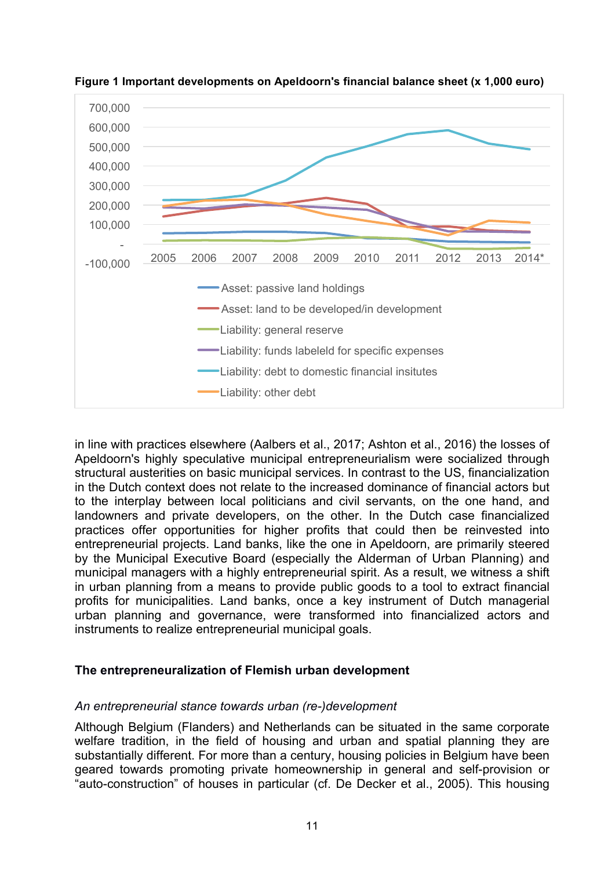

**Figure 1 Important developments on Apeldoorn's financial balance sheet (x 1,000 euro)**

in line with practices elsewhere (Aalbers et al., 2017; Ashton et al., 2016) the losses of Apeldoorn's highly speculative municipal entrepreneurialism were socialized through structural austerities on basic municipal services. In contrast to the US, financialization in the Dutch context does not relate to the increased dominance of financial actors but to the interplay between local politicians and civil servants, on the one hand, and landowners and private developers, on the other. In the Dutch case financialized practices offer opportunities for higher profits that could then be reinvested into entrepreneurial projects. Land banks, like the one in Apeldoorn, are primarily steered by the Municipal Executive Board (especially the Alderman of Urban Planning) and municipal managers with a highly entrepreneurial spirit. As a result, we witness a shift in urban planning from a means to provide public goods to a tool to extract financial profits for municipalities. Land banks, once a key instrument of Dutch managerial urban planning and governance, were transformed into financialized actors and instruments to realize entrepreneurial municipal goals.

#### **The entrepreneuralization of Flemish urban development**

#### *An entrepreneurial stance towards urban (re-)development*

Although Belgium (Flanders) and Netherlands can be situated in the same corporate welfare tradition, in the field of housing and urban and spatial planning they are substantially different. For more than a century, housing policies in Belgium have been geared towards promoting private homeownership in general and self-provision or "auto-construction" of houses in particular (cf. De Decker et al., 2005). This housing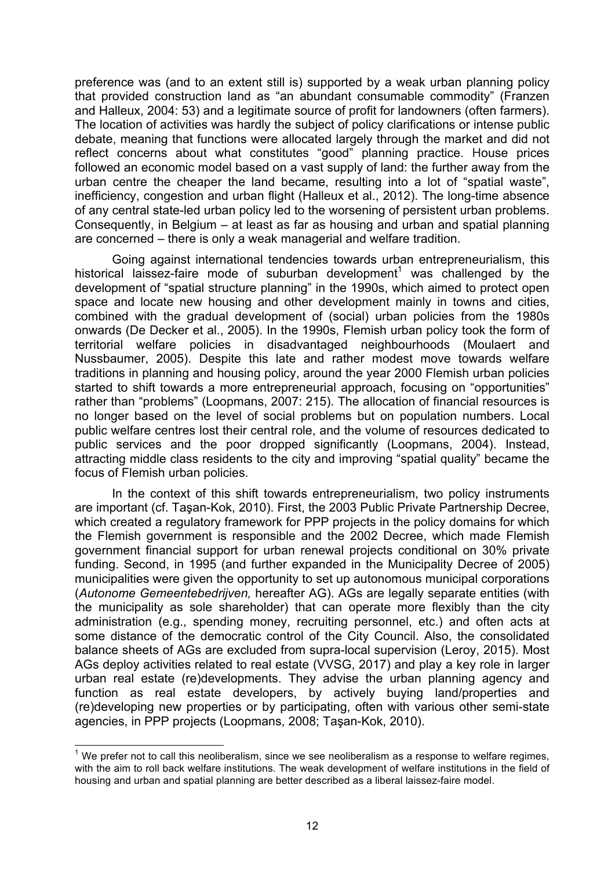preference was (and to an extent still is) supported by a weak urban planning policy that provided construction land as "an abundant consumable commodity" (Franzen and Halleux, 2004: 53) and a legitimate source of profit for landowners (often farmers). The location of activities was hardly the subject of policy clarifications or intense public debate, meaning that functions were allocated largely through the market and did not reflect concerns about what constitutes "good" planning practice. House prices followed an economic model based on a vast supply of land: the further away from the urban centre the cheaper the land became, resulting into a lot of "spatial waste", inefficiency, congestion and urban flight (Halleux et al., 2012). The long-time absence of any central state-led urban policy led to the worsening of persistent urban problems. Consequently, in Belgium – at least as far as housing and urban and spatial planning are concerned – there is only a weak managerial and welfare tradition.

Going against international tendencies towards urban entrepreneurialism, this historical laissez-faire mode of suburban development<sup>1</sup> was challenged by the development of "spatial structure planning" in the 1990s, which aimed to protect open space and locate new housing and other development mainly in towns and cities, combined with the gradual development of (social) urban policies from the 1980s onwards (De Decker et al., 2005). In the 1990s, Flemish urban policy took the form of territorial welfare policies in disadvantaged neighbourhoods (Moulaert and Nussbaumer, 2005). Despite this late and rather modest move towards welfare traditions in planning and housing policy, around the year 2000 Flemish urban policies started to shift towards a more entrepreneurial approach, focusing on "opportunities" rather than "problems" (Loopmans, 2007: 215). The allocation of financial resources is no longer based on the level of social problems but on population numbers. Local public welfare centres lost their central role, and the volume of resources dedicated to public services and the poor dropped significantly (Loopmans, 2004). Instead, attracting middle class residents to the city and improving "spatial quality" became the focus of Flemish urban policies.

In the context of this shift towards entrepreneurialism, two policy instruments are important (cf. Taşan-Kok, 2010). First, the 2003 Public Private Partnership Decree, which created a regulatory framework for PPP projects in the policy domains for which the Flemish government is responsible and the 2002 Decree, which made Flemish government financial support for urban renewal projects conditional on 30% private funding. Second, in 1995 (and further expanded in the Municipality Decree of 2005) municipalities were given the opportunity to set up autonomous municipal corporations (*Autonome Gemeentebedrijven,* hereafter AG). AGs are legally separate entities (with the municipality as sole shareholder) that can operate more flexibly than the city administration (e.g., spending money, recruiting personnel, etc.) and often acts at some distance of the democratic control of the City Council. Also, the consolidated balance sheets of AGs are excluded from supra-local supervision (Leroy, 2015). Most AGs deploy activities related to real estate (VVSG, 2017) and play a key role in larger urban real estate (re)developments. They advise the urban planning agency and function as real estate developers, by actively buying land/properties and (re)developing new properties or by participating, often with various other semi-state agencies, in PPP projects (Loopmans, 2008; Taşan-Kok, 2010).

 $1$  We prefer not to call this neoliberalism, since we see neoliberalism as a response to welfare regimes, with the aim to roll back welfare institutions. The weak development of welfare institutions in the field of housing and urban and spatial planning are better described as a liberal laissez-faire model.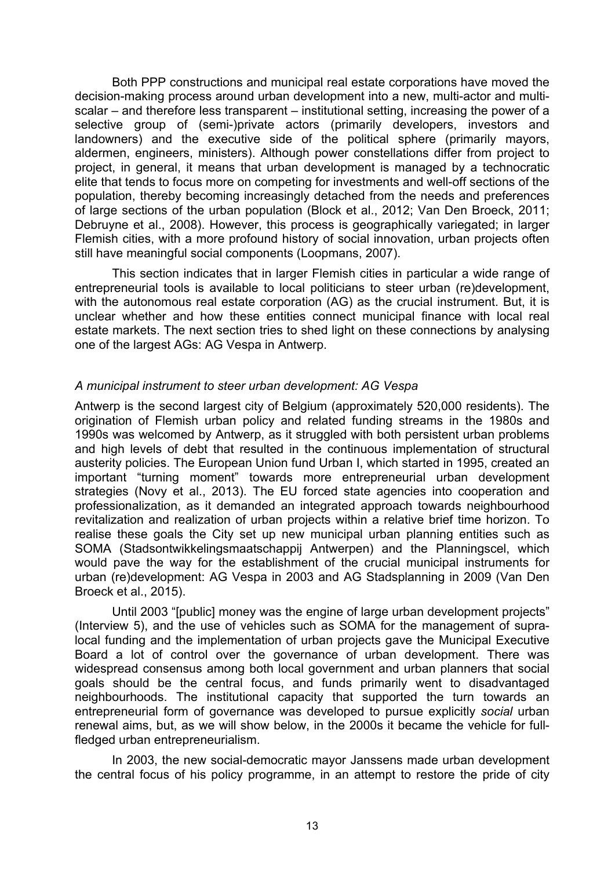Both PPP constructions and municipal real estate corporations have moved the decision-making process around urban development into a new, multi-actor and multiscalar – and therefore less transparent – institutional setting, increasing the power of a selective group of (semi-)private actors (primarily developers, investors and landowners) and the executive side of the political sphere (primarily mayors, aldermen, engineers, ministers). Although power constellations differ from project to project, in general, it means that urban development is managed by a technocratic elite that tends to focus more on competing for investments and well-off sections of the population, thereby becoming increasingly detached from the needs and preferences of large sections of the urban population (Block et al., 2012; Van Den Broeck, 2011; Debruyne et al., 2008). However, this process is geographically variegated; in larger Flemish cities, with a more profound history of social innovation, urban projects often still have meaningful social components (Loopmans, 2007).

This section indicates that in larger Flemish cities in particular a wide range of entrepreneurial tools is available to local politicians to steer urban (re)development, with the autonomous real estate corporation (AG) as the crucial instrument. But, it is unclear whether and how these entities connect municipal finance with local real estate markets. The next section tries to shed light on these connections by analysing one of the largest AGs: AG Vespa in Antwerp.

#### *A municipal instrument to steer urban development: AG Vespa*

Antwerp is the second largest city of Belgium (approximately 520,000 residents). The origination of Flemish urban policy and related funding streams in the 1980s and 1990s was welcomed by Antwerp, as it struggled with both persistent urban problems and high levels of debt that resulted in the continuous implementation of structural austerity policies. The European Union fund Urban I, which started in 1995, created an important "turning moment" towards more entrepreneurial urban development strategies (Novy et al., 2013). The EU forced state agencies into cooperation and professionalization, as it demanded an integrated approach towards neighbourhood revitalization and realization of urban projects within a relative brief time horizon. To realise these goals the City set up new municipal urban planning entities such as SOMA (Stadsontwikkelingsmaatschappij Antwerpen) and the Planningscel, which would pave the way for the establishment of the crucial municipal instruments for urban (re)development: AG Vespa in 2003 and AG Stadsplanning in 2009 (Van Den Broeck et al., 2015).

Until 2003 "[public] money was the engine of large urban development projects" (Interview 5), and the use of vehicles such as SOMA for the management of supralocal funding and the implementation of urban projects gave the Municipal Executive Board a lot of control over the governance of urban development. There was widespread consensus among both local government and urban planners that social goals should be the central focus, and funds primarily went to disadvantaged neighbourhoods. The institutional capacity that supported the turn towards an entrepreneurial form of governance was developed to pursue explicitly *social* urban renewal aims, but, as we will show below, in the 2000s it became the vehicle for fullfledged urban entrepreneurialism.

In 2003, the new social-democratic mayor Janssens made urban development the central focus of his policy programme, in an attempt to restore the pride of city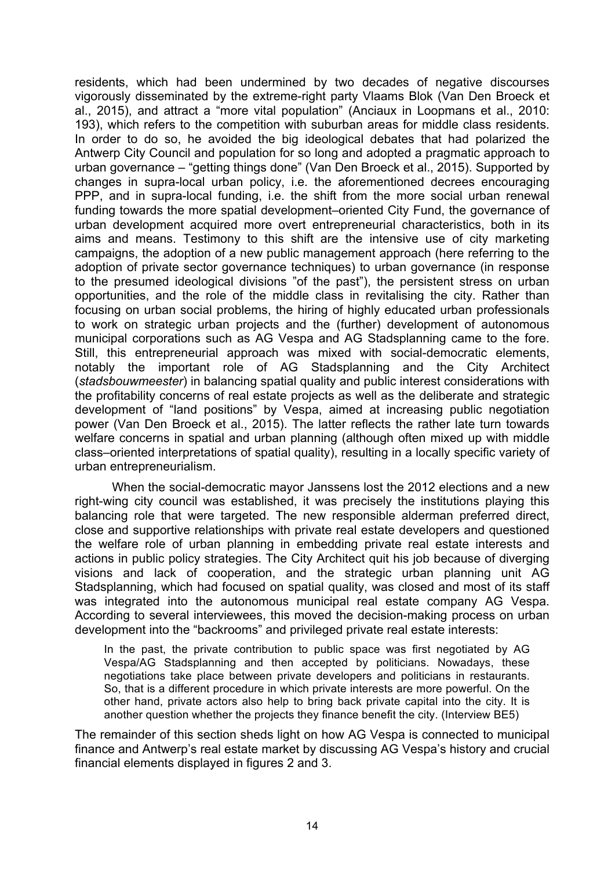residents, which had been undermined by two decades of negative discourses vigorously disseminated by the extreme-right party Vlaams Blok (Van Den Broeck et al., 2015), and attract a "more vital population" (Anciaux in Loopmans et al., 2010: 193), which refers to the competition with suburban areas for middle class residents. In order to do so, he avoided the big ideological debates that had polarized the Antwerp City Council and population for so long and adopted a pragmatic approach to urban governance – "getting things done" (Van Den Broeck et al., 2015). Supported by changes in supra-local urban policy, i.e. the aforementioned decrees encouraging PPP, and in supra-local funding, i.e. the shift from the more social urban renewal funding towards the more spatial development–oriented City Fund, the governance of urban development acquired more overt entrepreneurial characteristics, both in its aims and means. Testimony to this shift are the intensive use of city marketing campaigns, the adoption of a new public management approach (here referring to the adoption of private sector governance techniques) to urban governance (in response to the presumed ideological divisions "of the past"), the persistent stress on urban opportunities, and the role of the middle class in revitalising the city. Rather than focusing on urban social problems, the hiring of highly educated urban professionals to work on strategic urban projects and the (further) development of autonomous municipal corporations such as AG Vespa and AG Stadsplanning came to the fore. Still, this entrepreneurial approach was mixed with social-democratic elements, notably the important role of AG Stadsplanning and the City Architect (*stadsbouwmeester*) in balancing spatial quality and public interest considerations with the profitability concerns of real estate projects as well as the deliberate and strategic development of "land positions" by Vespa, aimed at increasing public negotiation power (Van Den Broeck et al., 2015). The latter reflects the rather late turn towards welfare concerns in spatial and urban planning (although often mixed up with middle class–oriented interpretations of spatial quality), resulting in a locally specific variety of urban entrepreneurialism.

When the social-democratic mayor Janssens lost the 2012 elections and a new right-wing city council was established, it was precisely the institutions playing this balancing role that were targeted. The new responsible alderman preferred direct, close and supportive relationships with private real estate developers and questioned the welfare role of urban planning in embedding private real estate interests and actions in public policy strategies. The City Architect quit his job because of diverging visions and lack of cooperation, and the strategic urban planning unit AG Stadsplanning, which had focused on spatial quality, was closed and most of its staff was integrated into the autonomous municipal real estate company AG Vespa. According to several interviewees, this moved the decision-making process on urban development into the "backrooms" and privileged private real estate interests:

In the past, the private contribution to public space was first negotiated by AG Vespa/AG Stadsplanning and then accepted by politicians. Nowadays, these negotiations take place between private developers and politicians in restaurants. So, that is a different procedure in which private interests are more powerful. On the other hand, private actors also help to bring back private capital into the city. It is another question whether the projects they finance benefit the city. (Interview BE5)

The remainder of this section sheds light on how AG Vespa is connected to municipal finance and Antwerp's real estate market by discussing AG Vespa's history and crucial financial elements displayed in figures 2 and 3.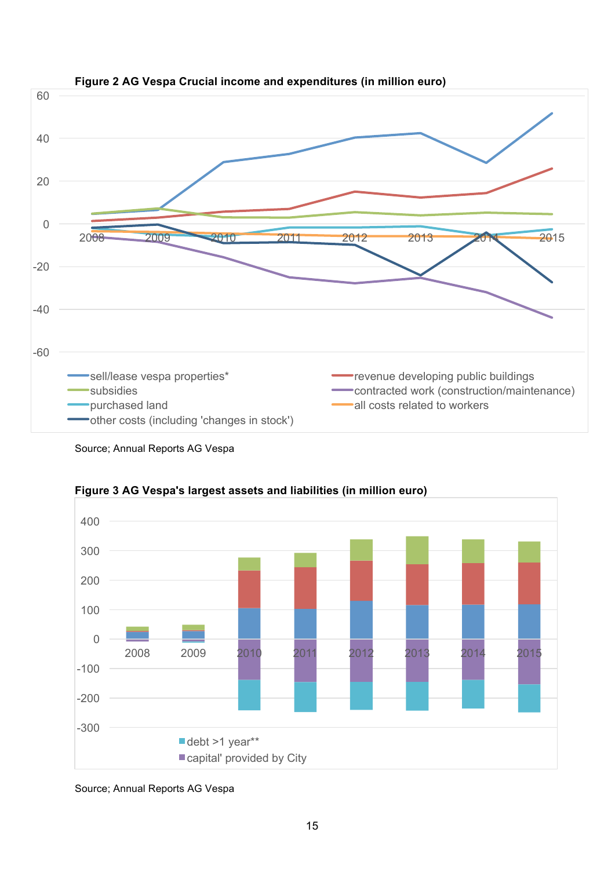

**Figure 2 AG Vespa Crucial income and expenditures (in million euro)**

Source; Annual Reports AG Vespa



**Figure 3 AG Vespa's largest assets and liabilities (in million euro)**

Source; Annual Reports AG Vespa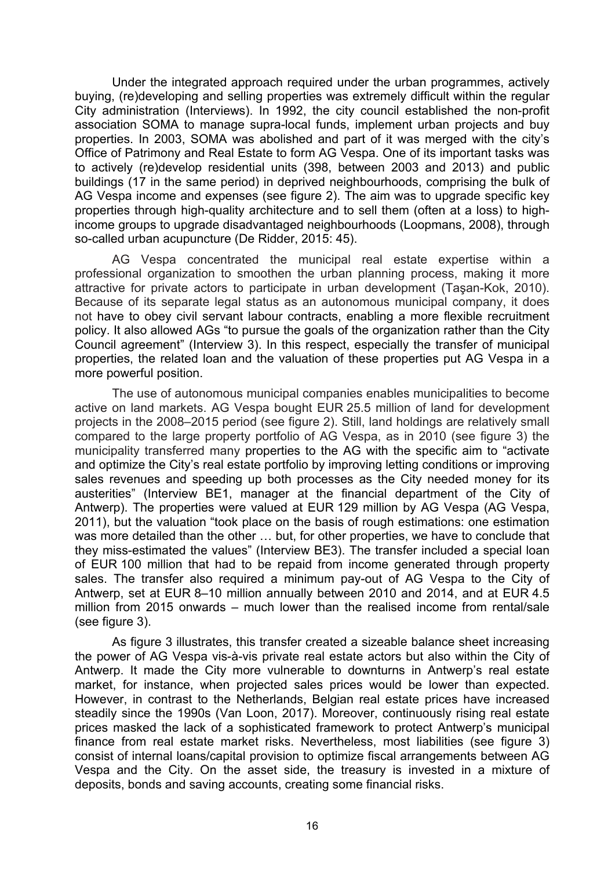Under the integrated approach required under the urban programmes, actively buying, (re)developing and selling properties was extremely difficult within the regular City administration (Interviews). In 1992, the city council established the non-profit association SOMA to manage supra-local funds, implement urban projects and buy properties. In 2003, SOMA was abolished and part of it was merged with the city's Office of Patrimony and Real Estate to form AG Vespa. One of its important tasks was to actively (re)develop residential units (398, between 2003 and 2013) and public buildings (17 in the same period) in deprived neighbourhoods, comprising the bulk of AG Vespa income and expenses (see figure 2). The aim was to upgrade specific key properties through high-quality architecture and to sell them (often at a loss) to highincome groups to upgrade disadvantaged neighbourhoods (Loopmans, 2008), through so-called urban acupuncture (De Ridder, 2015: 45).

AG Vespa concentrated the municipal real estate expertise within a professional organization to smoothen the urban planning process, making it more attractive for private actors to participate in urban development (Taşan-Kok, 2010). Because of its separate legal status as an autonomous municipal company, it does not have to obey civil servant labour contracts, enabling a more flexible recruitment policy. It also allowed AGs "to pursue the goals of the organization rather than the City Council agreement" (Interview 3). In this respect, especially the transfer of municipal properties, the related loan and the valuation of these properties put AG Vespa in a more powerful position.

The use of autonomous municipal companies enables municipalities to become active on land markets. AG Vespa bought EUR 25.5 million of land for development projects in the 2008–2015 period (see figure 2). Still, land holdings are relatively small compared to the large property portfolio of AG Vespa, as in 2010 (see figure 3) the municipality transferred many properties to the AG with the specific aim to "activate and optimize the City's real estate portfolio by improving letting conditions or improving sales revenues and speeding up both processes as the City needed money for its austerities" (Interview BE1, manager at the financial department of the City of Antwerp). The properties were valued at EUR 129 million by AG Vespa (AG Vespa, 2011), but the valuation "took place on the basis of rough estimations: one estimation was more detailed than the other … but, for other properties, we have to conclude that they miss-estimated the values" (Interview BE3). The transfer included a special loan of EUR 100 million that had to be repaid from income generated through property sales. The transfer also required a minimum pay-out of AG Vespa to the City of Antwerp, set at EUR 8–10 million annually between 2010 and 2014, and at EUR 4.5 million from 2015 onwards – much lower than the realised income from rental/sale (see figure 3).

As figure 3 illustrates, this transfer created a sizeable balance sheet increasing the power of AG Vespa vis-à-vis private real estate actors but also within the City of Antwerp. It made the City more vulnerable to downturns in Antwerp's real estate market, for instance, when projected sales prices would be lower than expected. However, in contrast to the Netherlands, Belgian real estate prices have increased steadily since the 1990s (Van Loon, 2017). Moreover, continuously rising real estate prices masked the lack of a sophisticated framework to protect Antwerp's municipal finance from real estate market risks. Nevertheless, most liabilities (see figure 3) consist of internal loans/capital provision to optimize fiscal arrangements between AG Vespa and the City. On the asset side, the treasury is invested in a mixture of deposits, bonds and saving accounts, creating some financial risks.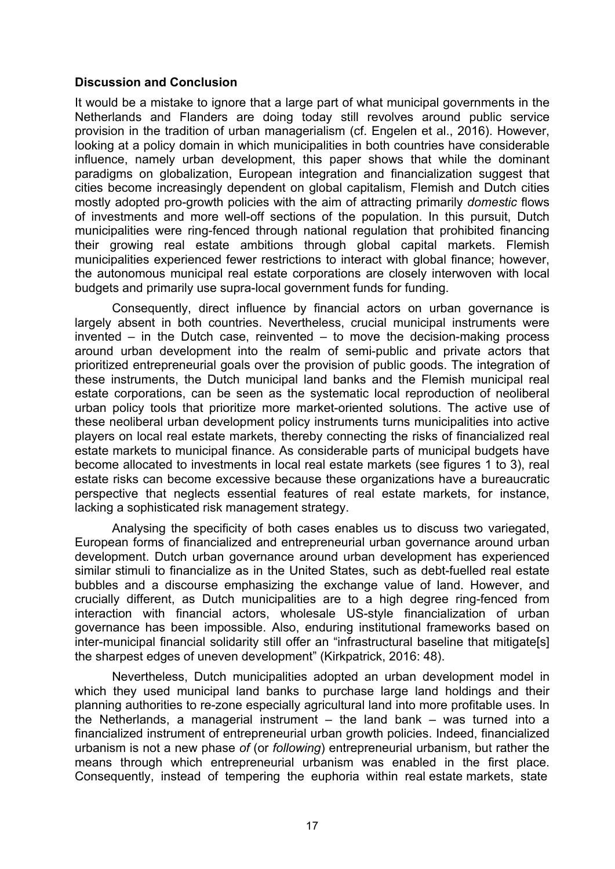## **Discussion and Conclusion**

It would be a mistake to ignore that a large part of what municipal governments in the Netherlands and Flanders are doing today still revolves around public service provision in the tradition of urban managerialism (cf. Engelen et al., 2016). However, looking at a policy domain in which municipalities in both countries have considerable influence, namely urban development, this paper shows that while the dominant paradigms on globalization, European integration and financialization suggest that cities become increasingly dependent on global capitalism, Flemish and Dutch cities mostly adopted pro-growth policies with the aim of attracting primarily *domestic* flows of investments and more well-off sections of the population. In this pursuit, Dutch municipalities were ring-fenced through national regulation that prohibited financing their growing real estate ambitions through global capital markets. Flemish municipalities experienced fewer restrictions to interact with global finance; however, the autonomous municipal real estate corporations are closely interwoven with local budgets and primarily use supra-local government funds for funding.

Consequently, direct influence by financial actors on urban governance is largely absent in both countries. Nevertheless, crucial municipal instruments were invented – in the Dutch case, reinvented – to move the decision-making process around urban development into the realm of semi-public and private actors that prioritized entrepreneurial goals over the provision of public goods. The integration of these instruments, the Dutch municipal land banks and the Flemish municipal real estate corporations, can be seen as the systematic local reproduction of neoliberal urban policy tools that prioritize more market-oriented solutions. The active use of these neoliberal urban development policy instruments turns municipalities into active players on local real estate markets, thereby connecting the risks of financialized real estate markets to municipal finance. As considerable parts of municipal budgets have become allocated to investments in local real estate markets (see figures 1 to 3), real estate risks can become excessive because these organizations have a bureaucratic perspective that neglects essential features of real estate markets, for instance, lacking a sophisticated risk management strategy.

Analysing the specificity of both cases enables us to discuss two variegated, European forms of financialized and entrepreneurial urban governance around urban development. Dutch urban governance around urban development has experienced similar stimuli to financialize as in the United States, such as debt-fuelled real estate bubbles and a discourse emphasizing the exchange value of land. However, and crucially different, as Dutch municipalities are to a high degree ring-fenced from interaction with financial actors, wholesale US-style financialization of urban governance has been impossible. Also, enduring institutional frameworks based on inter-municipal financial solidarity still offer an "infrastructural baseline that mitigate[s] the sharpest edges of uneven development" (Kirkpatrick, 2016: 48).

Nevertheless, Dutch municipalities adopted an urban development model in which they used municipal land banks to purchase large land holdings and their planning authorities to re-zone especially agricultural land into more profitable uses. In the Netherlands, a managerial instrument  $-$  the land bank  $-$  was turned into a financialized instrument of entrepreneurial urban growth policies. Indeed, financialized urbanism is not a new phase *of* (or *following*) entrepreneurial urbanism, but rather the means through which entrepreneurial urbanism was enabled in the first place. Consequently, instead of tempering the euphoria within real estate markets, state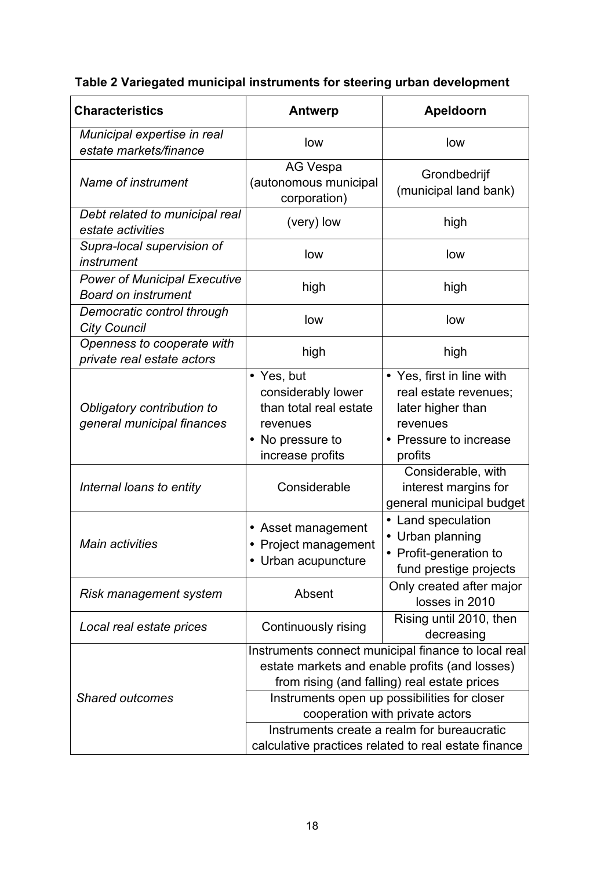## **Table 2 Variegated municipal instruments for steering urban development**

| <b>Characteristics</b>                                            | <b>Antwerp</b>                                                                                                 | Apeldoorn                                                                                                                                                                                                                                |
|-------------------------------------------------------------------|----------------------------------------------------------------------------------------------------------------|------------------------------------------------------------------------------------------------------------------------------------------------------------------------------------------------------------------------------------------|
| Municipal expertise in real<br>estate markets/finance             | low                                                                                                            | low                                                                                                                                                                                                                                      |
| Name of instrument                                                | <b>AG Vespa</b><br>(autonomous municipal<br>corporation)                                                       | Grondbedrijf<br>(municipal land bank)                                                                                                                                                                                                    |
| Debt related to municipal real<br>estate activities               | (very) low                                                                                                     | high                                                                                                                                                                                                                                     |
| Supra-local supervision of<br>instrument                          | low                                                                                                            | low                                                                                                                                                                                                                                      |
| <b>Power of Municipal Executive</b><br><b>Board on instrument</b> | high                                                                                                           | high                                                                                                                                                                                                                                     |
| Democratic control through<br><b>City Council</b>                 | low                                                                                                            | low                                                                                                                                                                                                                                      |
| Openness to cooperate with<br>private real estate actors          | high                                                                                                           | high                                                                                                                                                                                                                                     |
| Obligatory contribution to<br>general municipal finances          | • Yes, but<br>considerably lower<br>than total real estate<br>revenues<br>• No pressure to<br>increase profits | • Yes, first in line with<br>real estate revenues;<br>later higher than<br>revenues<br>• Pressure to increase<br>profits                                                                                                                 |
| Internal loans to entity                                          | Considerable                                                                                                   | Considerable, with<br>interest margins for<br>general municipal budget                                                                                                                                                                   |
| <b>Main activities</b>                                            | Asset management<br>٠<br>Project management<br>• Urban acupuncture                                             | • Land speculation<br>• Urban planning<br>• Profit-generation to<br>fund prestige projects                                                                                                                                               |
| Risk management system                                            | Absent                                                                                                         | Only created after major<br>losses in 2010                                                                                                                                                                                               |
| Local real estate prices                                          | Continuously rising                                                                                            | Rising until 2010, then<br>decreasing                                                                                                                                                                                                    |
| <b>Shared outcomes</b>                                            |                                                                                                                | Instruments connect municipal finance to local real<br>estate markets and enable profits (and losses)<br>from rising (and falling) real estate prices<br>Instruments open up possibilities for closer<br>cooperation with private actors |
|                                                                   | Instruments create a realm for bureaucratic<br>calculative practices related to real estate finance            |                                                                                                                                                                                                                                          |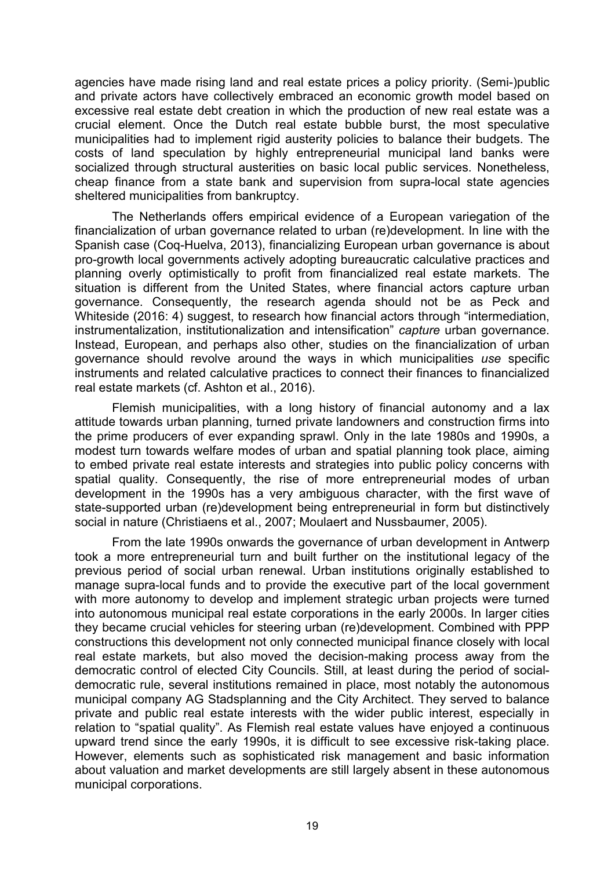agencies have made rising land and real estate prices a policy priority. (Semi-)public and private actors have collectively embraced an economic growth model based on excessive real estate debt creation in which the production of new real estate was a crucial element. Once the Dutch real estate bubble burst, the most speculative municipalities had to implement rigid austerity policies to balance their budgets. The costs of land speculation by highly entrepreneurial municipal land banks were socialized through structural austerities on basic local public services. Nonetheless, cheap finance from a state bank and supervision from supra-local state agencies sheltered municipalities from bankruptcy.

The Netherlands offers empirical evidence of a European variegation of the financialization of urban governance related to urban (re)development. In line with the Spanish case (Coq-Huelva, 2013), financializing European urban governance is about pro-growth local governments actively adopting bureaucratic calculative practices and planning overly optimistically to profit from financialized real estate markets. The situation is different from the United States, where financial actors capture urban governance. Consequently, the research agenda should not be as Peck and Whiteside (2016: 4) suggest, to research how financial actors through "intermediation, instrumentalization, institutionalization and intensification" *capture* urban governance. Instead, European, and perhaps also other, studies on the financialization of urban governance should revolve around the ways in which municipalities *use* specific instruments and related calculative practices to connect their finances to financialized real estate markets (cf. Ashton et al., 2016).

Flemish municipalities, with a long history of financial autonomy and a lax attitude towards urban planning, turned private landowners and construction firms into the prime producers of ever expanding sprawl. Only in the late 1980s and 1990s, a modest turn towards welfare modes of urban and spatial planning took place, aiming to embed private real estate interests and strategies into public policy concerns with spatial quality. Consequently, the rise of more entrepreneurial modes of urban development in the 1990s has a very ambiguous character, with the first wave of state-supported urban (re)development being entrepreneurial in form but distinctively social in nature (Christiaens et al., 2007; Moulaert and Nussbaumer, 2005).

From the late 1990s onwards the governance of urban development in Antwerp took a more entrepreneurial turn and built further on the institutional legacy of the previous period of social urban renewal. Urban institutions originally established to manage supra-local funds and to provide the executive part of the local government with more autonomy to develop and implement strategic urban projects were turned into autonomous municipal real estate corporations in the early 2000s. In larger cities they became crucial vehicles for steering urban (re)development. Combined with PPP constructions this development not only connected municipal finance closely with local real estate markets, but also moved the decision-making process away from the democratic control of elected City Councils. Still, at least during the period of socialdemocratic rule, several institutions remained in place, most notably the autonomous municipal company AG Stadsplanning and the City Architect. They served to balance private and public real estate interests with the wider public interest, especially in relation to "spatial quality". As Flemish real estate values have enjoyed a continuous upward trend since the early 1990s, it is difficult to see excessive risk-taking place. However, elements such as sophisticated risk management and basic information about valuation and market developments are still largely absent in these autonomous municipal corporations.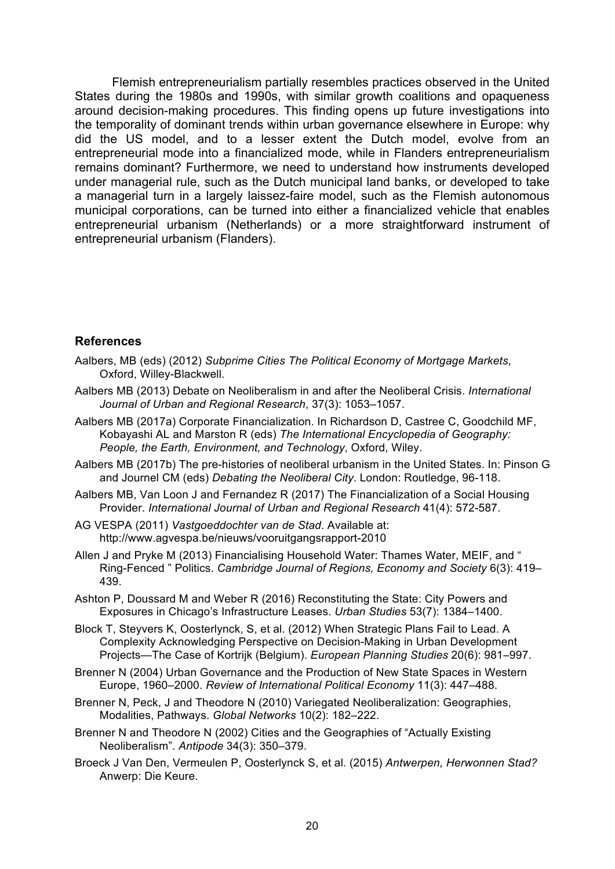Flemish entrepreneurialism partially resembles practices observed in the United States during the 1980s and 1990s, with similar growth coalitions and opaqueness around decision-making procedures. This finding opens up future investigations into the temporality of dominant trends within urban governance elsewhere in Europe: why did the US model, and to a lesser extent the Dutch model, evolve from an entrepreneurial mode into a financialized mode, while in Flanders entrepreneurialism remains dominant? Furthermore, we need to understand how instruments developed under managerial rule, such as the Dutch municipal land banks, or developed to take a managerial turn in a largely laissez-faire model, such as the Flemish autonomous municipal corporations, can be turned into either a financialized vehicle that enables entrepreneurial urbanism (Netherlands) or a more straightforward instrument of entrepreneurial urbanism (Flanders).

#### **References**

- Aalbers, MB (eds) (2012) *Subprime Cities The Political Economy of Mortgage Markets*, Oxford, Willey-Blackwell.
- Aalbers MB (2013) Debate on Neoliberalism in and after the Neoliberal Crisis. *International Journal of Urban and Regional Research*, 37(3): 1053–1057.
- Aalbers MB (2017a) Corporate Financialization. In Richardson D, Castree C, Goodchild MF, Kobayashi AL and Marston R (eds) *The International Encyclopedia of Geography: People, the Earth, Environment, and Technology*, Oxford, Wiley.
- Aalbers MB (2017b) The pre-histories of neoliberal urbanism in the United States. In: Pinson G and Journel CM (eds) *Debating the Neoliberal City*. London: Routledge, 96-118.
- Aalbers MB, Van Loon J and Fernandez R (2017) The Financialization of a Social Housing Provider. *International Journal of Urban and Regional Research* 41(4): 572-587.
- AG VESPA (2011) *Vastgoeddochter van de Stad*. Available at: http://www.agvespa.be/nieuws/vooruitgangsrapport-2010
- Allen J and Pryke M (2013) Financialising Household Water: Thames Water, MEIF, and " Ring-Fenced " Politics. *Cambridge Journal of Regions, Economy and Society* 6(3): 419– 439.
- Ashton P, Doussard M and Weber R (2016) Reconstituting the State: City Powers and Exposures in Chicago's Infrastructure Leases. *Urban Studies* 53(7): 1384–1400.
- Block T, Steyvers K, Oosterlynck, S, et al. (2012) When Strategic Plans Fail to Lead. A Complexity Acknowledging Perspective on Decision-Making in Urban Development Projects—The Case of Kortrijk (Belgium). *European Planning Studies* 20(6): 981–997.
- Brenner N (2004) Urban Governance and the Production of New State Spaces in Western Europe, 1960–2000. *Review of International Political Economy* 11(3): 447–488.
- Brenner N, Peck, J and Theodore N (2010) Variegated Neoliberalization: Geographies, Modalities, Pathways. *Global Networks* 10(2): 182–222.
- Brenner N and Theodore N (2002) Cities and the Geographies of "Actually Existing Neoliberalism". *Antipode* 34(3): 350–379.
- Broeck J Van Den, Vermeulen P, Oosterlynck S, et al. (2015) *Antwerpen, Herwonnen Stad?* Anwerp: Die Keure.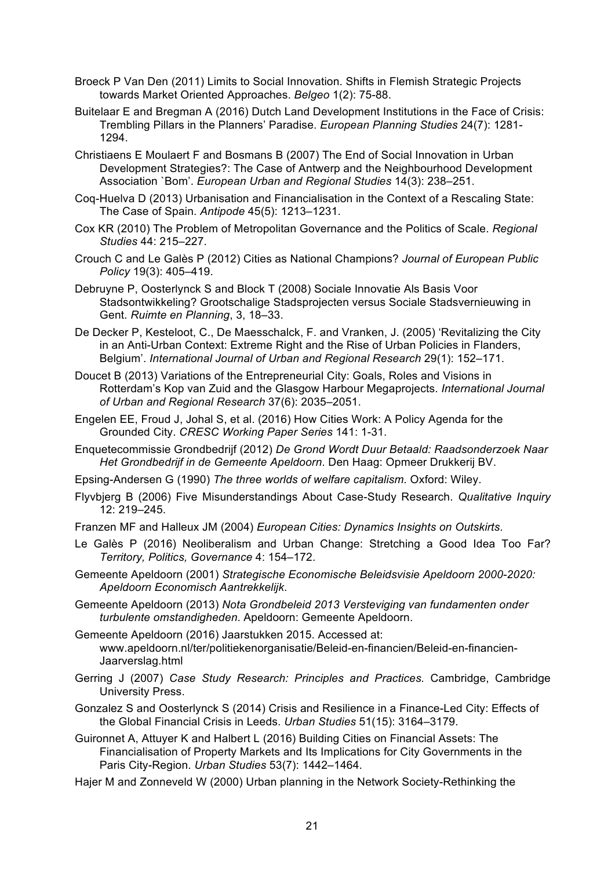- Broeck P Van Den (2011) Limits to Social Innovation. Shifts in Flemish Strategic Projects towards Market Oriented Approaches. *Belgeo* 1(2): 75-88.
- Buitelaar E and Bregman A (2016) Dutch Land Development Institutions in the Face of Crisis: Trembling Pillars in the Planners' Paradise. *European Planning Studies* 24(7): 1281- 1294.
- Christiaens E Moulaert F and Bosmans B (2007) The End of Social Innovation in Urban Development Strategies?: The Case of Antwerp and the Neighbourhood Development Association `Bom'. *European Urban and Regional Studies* 14(3): 238–251.
- Coq-Huelva D (2013) Urbanisation and Financialisation in the Context of a Rescaling State: The Case of Spain. *Antipode* 45(5): 1213–1231.
- Cox KR (2010) The Problem of Metropolitan Governance and the Politics of Scale. *Regional Studies* 44: 215–227.
- Crouch C and Le Galès P (2012) Cities as National Champions? *Journal of European Public Policy* 19(3): 405–419.
- Debruyne P, Oosterlynck S and Block T (2008) Sociale Innovatie Als Basis Voor Stadsontwikkeling? Grootschalige Stadsprojecten versus Sociale Stadsvernieuwing in Gent. *Ruimte en Planning*, 3, 18–33.
- De Decker P, Kesteloot, C., De Maesschalck, F. and Vranken, J. (2005) 'Revitalizing the City in an Anti-Urban Context: Extreme Right and the Rise of Urban Policies in Flanders, Belgium'. *International Journal of Urban and Regional Research* 29(1): 152–171.
- Doucet B (2013) Variations of the Entrepreneurial City: Goals, Roles and Visions in Rotterdam's Kop van Zuid and the Glasgow Harbour Megaprojects. *International Journal of Urban and Regional Research* 37(6): 2035–2051.
- Engelen EE, Froud J, Johal S, et al. (2016) How Cities Work: A Policy Agenda for the Grounded City. *CRESC Working Paper Series* 141: 1-31.
- Enquetecommissie Grondbedrijf (2012) *De Grond Wordt Duur Betaald: Raadsonderzoek Naar Het Grondbedrijf in de Gemeente Apeldoorn*. Den Haag: Opmeer Drukkerij BV.
- Epsing-Andersen G (1990) *The three worlds of welfare capitalism.* Oxford: Wiley.
- Flyvbjerg B (2006) Five Misunderstandings About Case-Study Research. *Qualitative Inquiry* 12: 219–245.
- Franzen MF and Halleux JM (2004) *European Cities: Dynamics Insights on Outskirts*.
- Le Galès P (2016) Neoliberalism and Urban Change: Stretching a Good Idea Too Far? *Territory, Politics, Governance* 4: 154–172.
- Gemeente Apeldoorn (2001) *Strategische Economische Beleidsvisie Apeldoorn 2000-2020: Apeldoorn Economisch Aantrekkelijk*.
- Gemeente Apeldoorn (2013) *Nota Grondbeleid 2013 Versteviging van fundamenten onder turbulente omstandigheden*. Apeldoorn: Gemeente Apeldoorn.
- Gemeente Apeldoorn (2016) Jaarstukken 2015. Accessed at: www.apeldoorn.nl/ter/politiekenorganisatie/Beleid-en-financien/Beleid-en-financien-Jaarverslag.html
- Gerring J (2007) *Case Study Research: Principles and Practices.* Cambridge, Cambridge University Press.
- Gonzalez S and Oosterlynck S (2014) Crisis and Resilience in a Finance-Led City: Effects of the Global Financial Crisis in Leeds. *Urban Studies* 51(15): 3164–3179.
- Guironnet A, Attuyer K and Halbert L (2016) Building Cities on Financial Assets: The Financialisation of Property Markets and Its Implications for City Governments in the Paris City-Region. *Urban Studies* 53(7): 1442–1464.
- Hajer M and Zonneveld W (2000) Urban planning in the Network Society-Rethinking the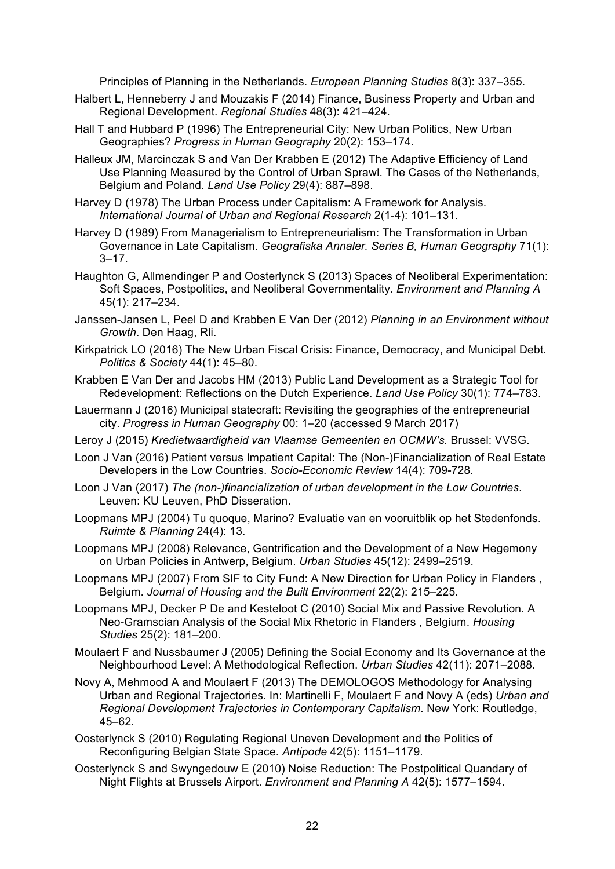Principles of Planning in the Netherlands. *European Planning Studies* 8(3): 337–355.

- Halbert L, Henneberry J and Mouzakis F (2014) Finance, Business Property and Urban and Regional Development. *Regional Studies* 48(3): 421–424.
- Hall T and Hubbard P (1996) The Entrepreneurial City: New Urban Politics, New Urban Geographies? *Progress in Human Geography* 20(2): 153–174.
- Halleux JM, Marcinczak S and Van Der Krabben E (2012) The Adaptive Efficiency of Land Use Planning Measured by the Control of Urban Sprawl. The Cases of the Netherlands, Belgium and Poland. *Land Use Policy* 29(4): 887–898.
- Harvey D (1978) The Urban Process under Capitalism: A Framework for Analysis. *International Journal of Urban and Regional Research* 2(1-4): 101–131.
- Harvey D (1989) From Managerialism to Entrepreneurialism: The Transformation in Urban Governance in Late Capitalism. *Geografiska Annaler. Series B, Human Geography* 71(1):  $3 - 17$ .
- Haughton G, Allmendinger P and Oosterlynck S (2013) Spaces of Neoliberal Experimentation: Soft Spaces, Postpolitics, and Neoliberal Governmentality. *Environment and Planning A* 45(1): 217–234.
- Janssen-Jansen L, Peel D and Krabben E Van Der (2012) *Planning in an Environment without Growth*. Den Haag, Rli.
- Kirkpatrick LO (2016) The New Urban Fiscal Crisis: Finance, Democracy, and Municipal Debt. *Politics & Society* 44(1): 45–80.
- Krabben E Van Der and Jacobs HM (2013) Public Land Development as a Strategic Tool for Redevelopment: Reflections on the Dutch Experience. *Land Use Policy* 30(1): 774–783.
- Lauermann J (2016) Municipal statecraft: Revisiting the geographies of the entrepreneurial city. *Progress in Human Geography* 00: 1–20 (accessed 9 March 2017)
- Leroy J (2015) *Kredietwaardigheid van Vlaamse Gemeenten en OCMW's.* Brussel: VVSG.
- Loon J Van (2016) Patient versus Impatient Capital: The (Non-)Financialization of Real Estate Developers in the Low Countries. *Socio-Economic Review* 14(4): 709-728.
- Loon J Van (2017) *The (non-)financialization of urban development in the Low Countries*. Leuven: KU Leuven, PhD Disseration.
- Loopmans MPJ (2004) Tu quoque, Marino? Evaluatie van en vooruitblik op het Stedenfonds. *Ruimte & Planning* 24(4): 13.
- Loopmans MPJ (2008) Relevance, Gentrification and the Development of a New Hegemony on Urban Policies in Antwerp, Belgium. *Urban Studies* 45(12): 2499–2519.
- Loopmans MPJ (2007) From SIF to City Fund: A New Direction for Urban Policy in Flanders , Belgium. *Journal of Housing and the Built Environment* 22(2): 215–225.
- Loopmans MPJ, Decker P De and Kesteloot C (2010) Social Mix and Passive Revolution. A Neo-Gramscian Analysis of the Social Mix Rhetoric in Flanders , Belgium. *Housing Studies* 25(2): 181–200.
- Moulaert F and Nussbaumer J (2005) Defining the Social Economy and Its Governance at the Neighbourhood Level: A Methodological Reflection. *Urban Studies* 42(11): 2071–2088.
- Novy A, Mehmood A and Moulaert F (2013) The DEMOLOGOS Methodology for Analysing Urban and Regional Trajectories. In: Martinelli F, Moulaert F and Novy A (eds) *Urban and Regional Development Trajectories in Contemporary Capitalism*. New York: Routledge, 45–62.
- Oosterlynck S (2010) Regulating Regional Uneven Development and the Politics of Reconfiguring Belgian State Space. *Antipode* 42(5): 1151–1179.
- Oosterlynck S and Swyngedouw E (2010) Noise Reduction: The Postpolitical Quandary of Night Flights at Brussels Airport. *Environment and Planning A* 42(5): 1577–1594.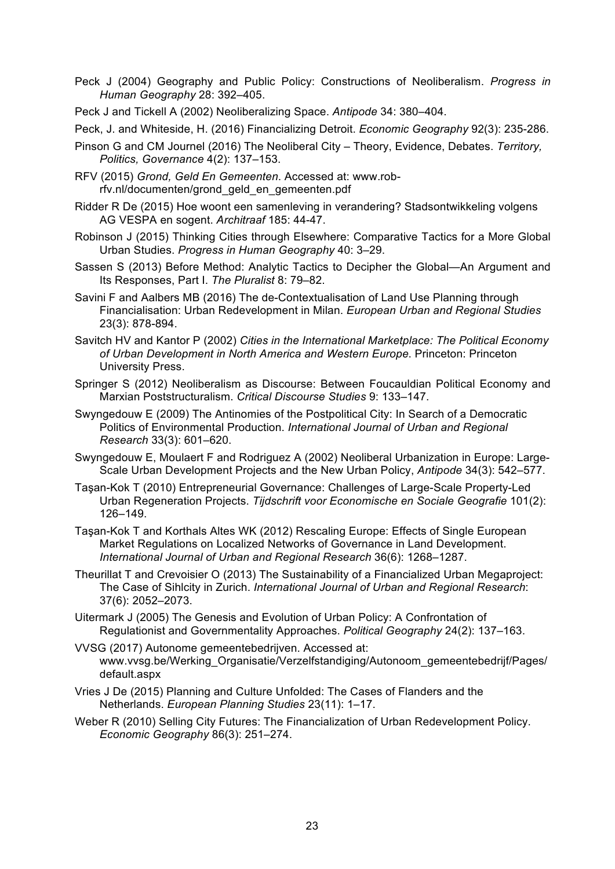- Peck J (2004) Geography and Public Policy: Constructions of Neoliberalism. *Progress in Human Geography* 28: 392–405.
- Peck J and Tickell A (2002) Neoliberalizing Space. *Antipode* 34: 380–404.
- Peck, J. and Whiteside, H. (2016) Financializing Detroit. *Economic Geography* 92(3): 235-286.
- Pinson G and CM Journel (2016) The Neoliberal City Theory, Evidence, Debates. *Territory, Politics, Governance* 4(2): 137–153.
- RFV (2015) *Grond, Geld En Gemeenten*. Accessed at: www.robrfv.nl/documenten/grond\_geld\_en\_gemeenten.pdf
- Ridder R De (2015) Hoe woont een samenleving in verandering? Stadsontwikkeling volgens AG VESPA en sogent. *Architraaf* 185: 44-47.
- Robinson J (2015) Thinking Cities through Elsewhere: Comparative Tactics for a More Global Urban Studies. *Progress in Human Geography* 40: 3–29.
- Sassen S (2013) Before Method: Analytic Tactics to Decipher the Global—An Argument and Its Responses, Part I. *The Pluralist* 8: 79–82.
- Savini F and Aalbers MB (2016) The de-Contextualisation of Land Use Planning through Financialisation: Urban Redevelopment in Milan. *European Urban and Regional Studies* 23(3): 878-894.
- Savitch HV and Kantor P (2002) *Cities in the International Marketplace: The Political Economy of Urban Development in North America and Western Europe*. Princeton: Princeton University Press.
- Springer S (2012) Neoliberalism as Discourse: Between Foucauldian Political Economy and Marxian Poststructuralism. *Critical Discourse Studies* 9: 133–147.
- Swyngedouw E (2009) The Antinomies of the Postpolitical City: In Search of a Democratic Politics of Environmental Production. *International Journal of Urban and Regional Research* 33(3): 601–620.
- Swyngedouw E, Moulaert F and Rodriguez A (2002) Neoliberal Urbanization in Europe: Large-Scale Urban Development Projects and the New Urban Policy, *Antipode* 34(3): 542–577.
- Taşan-Kok T (2010) Entrepreneurial Governance: Challenges of Large-Scale Property-Led Urban Regeneration Projects. *Tijdschrift voor Economische en Sociale Geografie* 101(2): 126–149.
- Taşan-Kok T and Korthals Altes WK (2012) Rescaling Europe: Effects of Single European Market Regulations on Localized Networks of Governance in Land Development. *International Journal of Urban and Regional Research* 36(6): 1268–1287.
- Theurillat T and Crevoisier O (2013) The Sustainability of a Financialized Urban Megaproject: The Case of Sihlcity in Zurich. *International Journal of Urban and Regional Research*: 37(6): 2052–2073.
- Uitermark J (2005) The Genesis and Evolution of Urban Policy: A Confrontation of Regulationist and Governmentality Approaches. *Political Geography* 24(2): 137–163.
- VVSG (2017) Autonome gemeentebedrijven. Accessed at: www.vvsg.be/Werking\_Organisatie/Verzelfstandiging/Autonoom\_gemeentebedrijf/Pages/ default.aspx
- Vries J De (2015) Planning and Culture Unfolded: The Cases of Flanders and the Netherlands. *European Planning Studies* 23(11): 1–17.
- Weber R (2010) Selling City Futures: The Financialization of Urban Redevelopment Policy. *Economic Geography* 86(3): 251–274.